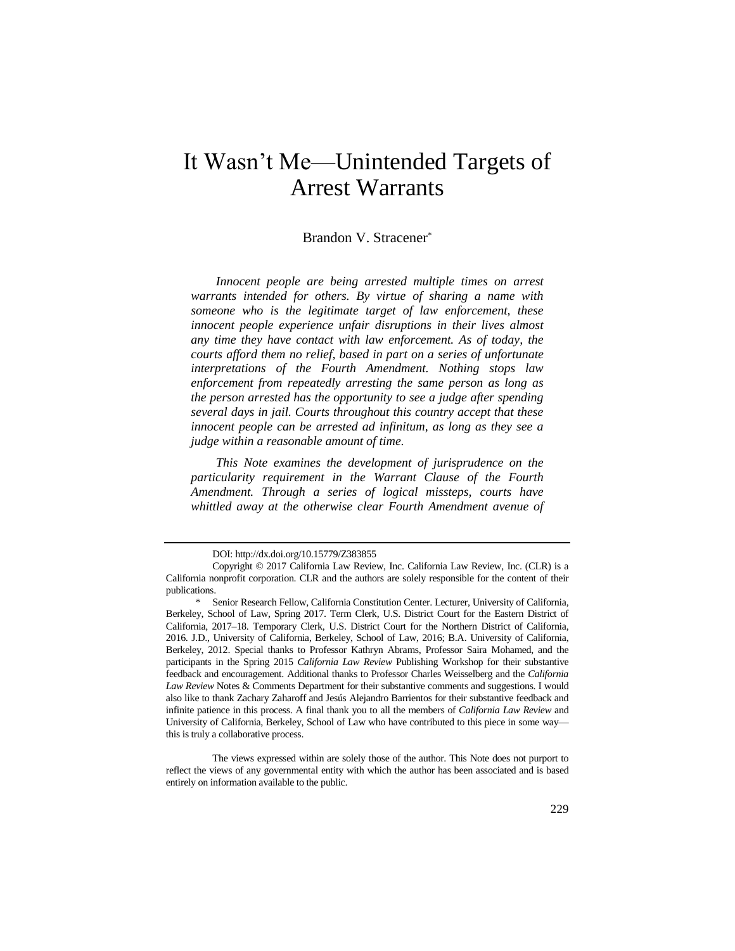# It Wasn't Me—Unintended Targets of Arrest Warrants

# Brandon V. Stracener\*

*Innocent people are being arrested multiple times on arrest warrants intended for others. By virtue of sharing a name with someone who is the legitimate target of law enforcement, these innocent people experience unfair disruptions in their lives almost any time they have contact with law enforcement. As of today, the courts afford them no relief, based in part on a series of unfortunate interpretations of the Fourth Amendment. Nothing stops law enforcement from repeatedly arresting the same person as long as the person arrested has the opportunity to see a judge after spending several days in jail. Courts throughout this country accept that these innocent people can be arrested ad infinitum, as long as they see a judge within a reasonable amount of time.*

*This Note examines the development of jurisprudence on the particularity requirement in the Warrant Clause of the Fourth Amendment. Through a series of logical missteps, courts have whittled away at the otherwise clear Fourth Amendment avenue of* 

DOI: http://dx.doi.org/10.15779/Z383855

Copyright © 2017 California Law Review, Inc. California Law Review, Inc. (CLR) is a California nonprofit corporation. CLR and the authors are solely responsible for the content of their publications.

Senior Research Fellow, California Constitution Center. Lecturer, University of California, Berkeley, School of Law, Spring 2017. Term Clerk, U.S. District Court for the Eastern District of California, 2017–18. Temporary Clerk, U.S. District Court for the Northern District of California, 2016. J.D., University of California, Berkeley, School of Law, 2016; B.A. University of California, Berkeley, 2012. Special thanks to Professor Kathryn Abrams, Professor Saira Mohamed, and the participants in the Spring 2015 *California Law Review* Publishing Workshop for their substantive feedback and encouragement. Additional thanks to Professor Charles Weisselberg and the *California Law Review* Notes & Comments Department for their substantive comments and suggestions. I would also like to thank Zachary Zaharoff and Jesús Alejandro Barrientos for their substantive feedback and infinite patience in this process. A final thank you to all the members of *California Law Review* and University of California, Berkeley, School of Law who have contributed to this piece in some way this is truly a collaborative process.

The views expressed within are solely those of the author. This Note does not purport to reflect the views of any governmental entity with which the author has been associated and is based entirely on information available to the public.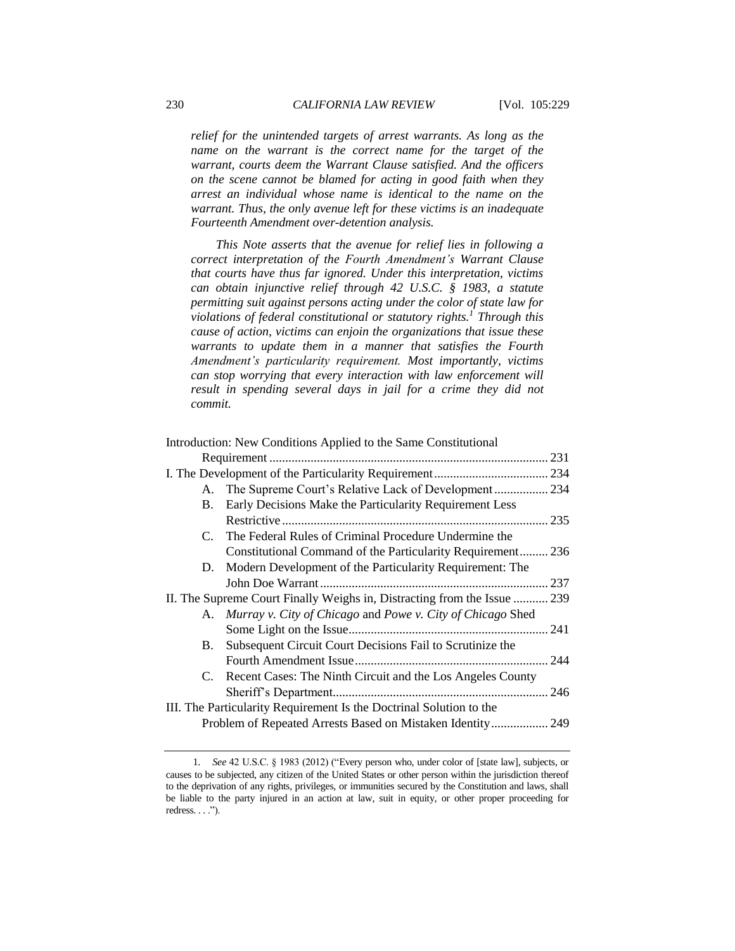*relief for the unintended targets of arrest warrants. As long as the name on the warrant is the correct name for the target of the warrant, courts deem the Warrant Clause satisfied. And the officers on the scene cannot be blamed for acting in good faith when they arrest an individual whose name is identical to the name on the warrant. Thus, the only avenue left for these victims is an inadequate Fourteenth Amendment over-detention analysis.*

*This Note asserts that the avenue for relief lies in following a correct interpretation of the Fourth Amendment's Warrant Clause that courts have thus far ignored. Under this interpretation, victims can obtain injunctive relief through 42 U.S.C. § 1983, a statute permitting suit against persons acting under the color of state law for violations of federal constitutional or statutory rights.<sup>1</sup> Through this cause of action, victims can enjoin the organizations that issue these warrants to update them in a manner that satisfies the Fourth Amendment's particularity requirement. Most importantly, victims can stop worrying that every interaction with law enforcement will*  result in spending several days in jail for a crime they did not *commit.*

|                                                                          | Introduction: New Conditions Applied to the Same Constitutional |       |
|--------------------------------------------------------------------------|-----------------------------------------------------------------|-------|
|                                                                          |                                                                 | 231   |
|                                                                          |                                                                 |       |
|                                                                          | A. The Supreme Court's Relative Lack of Development 234         |       |
| B.                                                                       | Early Decisions Make the Particularity Requirement Less         |       |
|                                                                          |                                                                 | . 235 |
|                                                                          | C. The Federal Rules of Criminal Procedure Undermine the        |       |
|                                                                          | Constitutional Command of the Particularity Requirement 236     |       |
|                                                                          | D. Modern Development of the Particularity Requirement: The     |       |
|                                                                          |                                                                 | 237   |
| II. The Supreme Court Finally Weighs in, Distracting from the Issue  239 |                                                                 |       |
|                                                                          | A. Murray v. City of Chicago and Powe v. City of Chicago Shed   |       |
|                                                                          |                                                                 |       |
| B.                                                                       | Subsequent Circuit Court Decisions Fail to Scrutinize the       |       |
|                                                                          |                                                                 |       |
|                                                                          | C. Recent Cases: The Ninth Circuit and the Los Angeles County   |       |
|                                                                          |                                                                 |       |
| III. The Particularity Requirement Is the Doctrinal Solution to the      |                                                                 |       |
| Problem of Repeated Arrests Based on Mistaken Identity 249               |                                                                 |       |
|                                                                          |                                                                 |       |

<sup>1</sup>*. See* 42 U.S.C. § 1983 (2012) ("Every person who, under color of [state law], subjects, or causes to be subjected, any citizen of the United States or other person within the jurisdiction thereof to the deprivation of any rights, privileges, or immunities secured by the Constitution and laws, shall be liable to the party injured in an action at law, suit in equity, or other proper proceeding for  $redress. . . .".$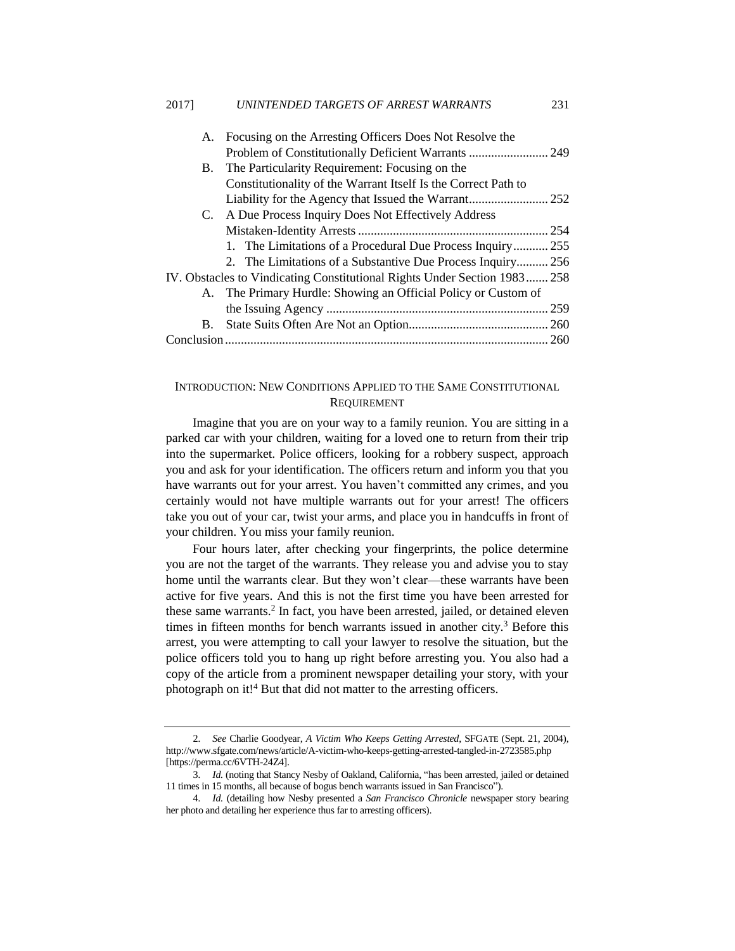| A.                                                                        | Focusing on the Arresting Officers Does Not Resolve the        |     |
|---------------------------------------------------------------------------|----------------------------------------------------------------|-----|
|                                                                           | Problem of Constitutionally Deficient Warrants  249            |     |
| B.                                                                        | The Particularity Requirement: Focusing on the                 |     |
|                                                                           | Constitutionality of the Warrant Itself Is the Correct Path to |     |
|                                                                           |                                                                |     |
|                                                                           | C. A Due Process Inquiry Does Not Effectively Address          |     |
|                                                                           |                                                                |     |
|                                                                           | 1. The Limitations of a Procedural Due Process Inquiry 255     |     |
|                                                                           | 2. The Limitations of a Substantive Due Process Inquiry 256    |     |
| IV. Obstacles to Vindicating Constitutional Rights Under Section 1983 258 |                                                                |     |
|                                                                           | A. The Primary Hurdle: Showing an Official Policy or Custom of |     |
|                                                                           |                                                                | 259 |
| B.                                                                        |                                                                |     |
|                                                                           |                                                                |     |

# INTRODUCTION: NEW CONDITIONS APPLIED TO THE SAME CONSTITUTIONAL REQUIREMENT

Imagine that you are on your way to a family reunion. You are sitting in a parked car with your children, waiting for a loved one to return from their trip into the supermarket. Police officers, looking for a robbery suspect, approach you and ask for your identification. The officers return and inform you that you have warrants out for your arrest. You haven't committed any crimes, and you certainly would not have multiple warrants out for your arrest! The officers take you out of your car, twist your arms, and place you in handcuffs in front of your children. You miss your family reunion.

<span id="page-2-0"></span>Four hours later, after checking your fingerprints, the police determine you are not the target of the warrants. They release you and advise you to stay home until the warrants clear. But they won't clear—these warrants have been active for five years. And this is not the first time you have been arrested for these same warrants.<sup>2</sup> In fact, you have been arrested, jailed, or detained eleven times in fifteen months for bench warrants issued in another city.<sup>3</sup> Before this arrest, you were attempting to call your lawyer to resolve the situation, but the police officers told you to hang up right before arresting you. You also had a copy of the article from a prominent newspaper detailing your story, with your photograph on it!<sup>4</sup> But that did not matter to the arresting officers.

<sup>2</sup>*. See* Charlie Goodyear, *A Victim Who Keeps Getting Arrested*, SFGATE (Sept. 21, 2004), http://www.sfgate.com/news/article/A-victim-who-keeps-getting-arrested-tangled-in-2723585.php [https://perma.cc/6VTH-24Z4].

<sup>3</sup>*. Id.* (noting that Stancy Nesby of Oakland, California, "has been arrested, jailed or detained 11 times in 15 months, all because of bogus bench warrants issued in San Francisco").

<sup>4</sup>*. Id.* (detailing how Nesby presented a *San Francisco Chronicle* newspaper story bearing her photo and detailing her experience thus far to arresting officers).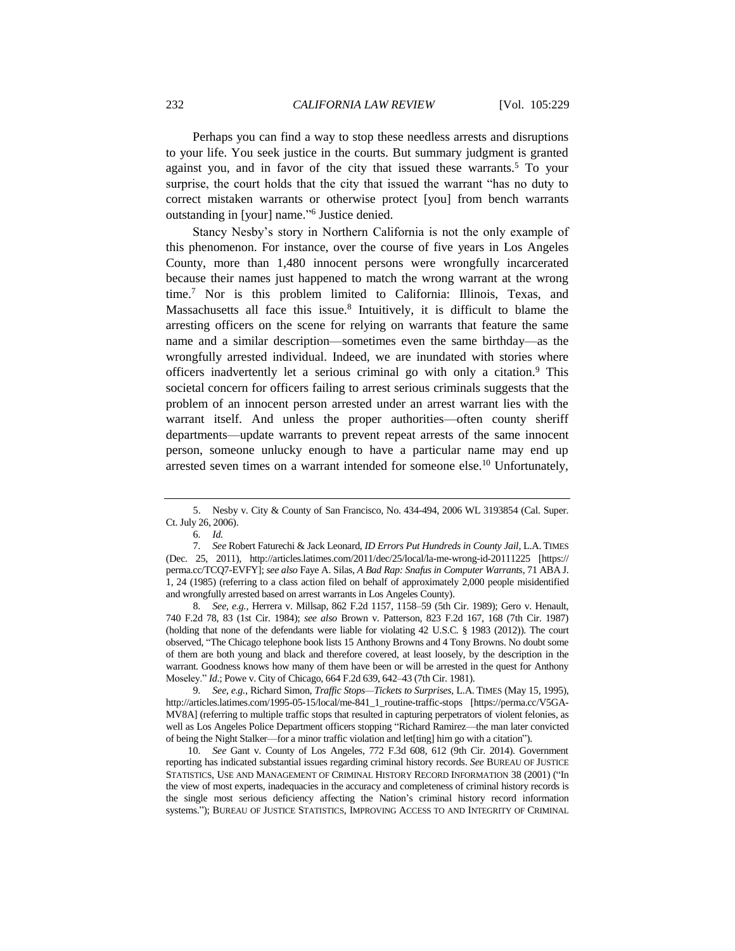Perhaps you can find a way to stop these needless arrests and disruptions to your life. You seek justice in the courts. But summary judgment is granted against you, and in favor of the city that issued these warrants.<sup>5</sup> To your surprise, the court holds that the city that issued the warrant "has no duty to correct mistaken warrants or otherwise protect [you] from bench warrants outstanding in [your] name." 6 Justice denied.

<span id="page-3-0"></span>Stancy Nesby's story in Northern California is not the only example of this phenomenon. For instance, over the course of five years in Los Angeles County, more than 1,480 innocent persons were wrongfully incarcerated because their names just happened to match the wrong warrant at the wrong time.<sup>7</sup> Nor is this problem limited to California: Illinois, Texas, and Massachusetts all face this issue.<sup>8</sup> Intuitively, it is difficult to blame the arresting officers on the scene for relying on warrants that feature the same name and a similar description—sometimes even the same birthday—as the wrongfully arrested individual. Indeed, we are inundated with stories where officers inadvertently let a serious criminal go with only a citation.<sup>9</sup> This societal concern for officers failing to arrest serious criminals suggests that the problem of an innocent person arrested under an arrest warrant lies with the warrant itself. And unless the proper authorities—often county sheriff departments—update warrants to prevent repeat arrests of the same innocent person, someone unlucky enough to have a particular name may end up arrested seven times on a warrant intended for someone else.<sup>10</sup> Unfortunately,

8*. See, e.g.*, Herrera v. Millsap, 862 F.2d 1157, 1158–59 (5th Cir. 1989); Gero v. Henault, 740 F.2d 78, 83 (1st Cir. 1984); *see also* Brown v. Patterson, 823 F.2d 167, 168 (7th Cir. 1987) (holding that none of the defendants were liable for violating 42 U.S.C. § 1983 (2012)). The court observed, "The Chicago telephone book lists 15 Anthony Browns and 4 Tony Browns. No doubt some of them are both young and black and therefore covered, at least loosely, by the description in the warrant. Goodness knows how many of them have been or will be arrested in the quest for Anthony Moseley." *Id*.; Powe v. City of Chicago, 664 F.2d 639, 642–43 (7th Cir. 1981).

9*. See, e.g.*, Richard Simon, *Traffic Stops—Tickets to Surprises*, L.A. TIMES (May 15, 1995), http://articles.latimes.com/1995-05-15/local/me-841\_1\_routine-traffic-stops [https://perma.cc/V5GA-MV8A] (referring to multiple traffic stops that resulted in capturing perpetrators of violent felonies, as well as Los Angeles Police Department officers stopping "Richard Ramirez—the man later convicted of being the Night Stalker—for a minor traffic violation and let[ting] him go with a citation").

10*. See* Gant v. County of Los Angeles, 772 F.3d 608, 612 (9th Cir. 2014). Government reporting has indicated substantial issues regarding criminal history records. *See* BUREAU OF JUSTICE STATISTICS, USE AND MANAGEMENT OF CRIMINAL HISTORY RECORD INFORMATION 38 (2001) ("In the view of most experts, inadequacies in the accuracy and completeness of criminal history records is the single most serious deficiency affecting the Nation's criminal history record information systems."); BUREAU OF JUSTICE STATISTICS, IMPROVING ACCESS TO AND INTEGRITY OF CRIMINAL

<sup>5.</sup> Nesby v. City & County of San Francisco, No. 434-494, 2006 WL 3193854 (Cal. Super. Ct. July 26, 2006).

<sup>6</sup>*. Id.*

<sup>7</sup>*. See* Robert Faturechi & Jack Leonard, *ID Errors Put Hundreds in County Jail*, L.A. TIMES (Dec. 25, 2011), http://articles.latimes.com/2011/dec/25/local/la-me-wrong-id-20111225 [https:// perma.cc/TCQ7-EVFY]; *see also* Faye A. Silas, *A Bad Rap: Snafus in Computer Warrants*, 71 ABA J. 1, 24 (1985) (referring to a class action filed on behalf of approximately 2,000 people misidentified and wrongfully arrested based on arrest warrants in Los Angeles County).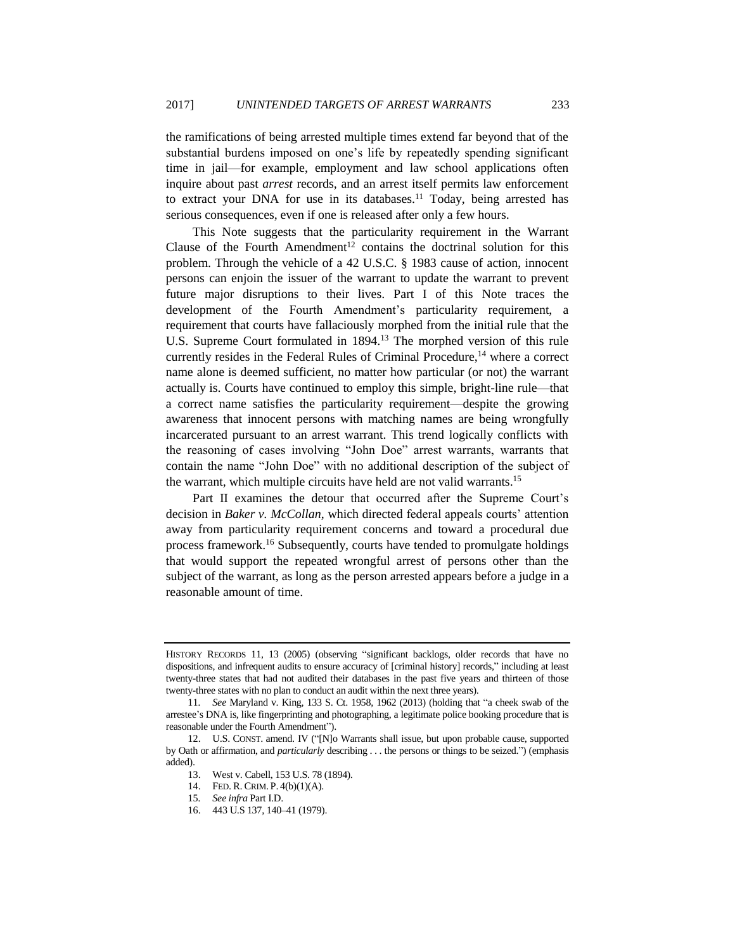the ramifications of being arrested multiple times extend far beyond that of the substantial burdens imposed on one's life by repeatedly spending significant time in jail—for example, employment and law school applications often inquire about past *arrest* records, and an arrest itself permits law enforcement to extract your DNA for use in its databases.<sup>11</sup> Today, being arrested has serious consequences, even if one is released after only a few hours.

This Note suggests that the particularity requirement in the Warrant Clause of the Fourth Amendment<sup>12</sup> contains the doctrinal solution for this problem. Through the vehicle of a 42 U.S.C. § 1983 cause of action, innocent persons can enjoin the issuer of the warrant to update the warrant to prevent future major disruptions to their lives. Part I of this Note traces the development of the Fourth Amendment's particularity requirement, a requirement that courts have fallaciously morphed from the initial rule that the U.S. Supreme Court formulated in 1894.<sup>13</sup> The morphed version of this rule currently resides in the Federal Rules of Criminal Procedure,<sup>14</sup> where a correct name alone is deemed sufficient, no matter how particular (or not) the warrant actually is. Courts have continued to employ this simple, bright-line rule—that a correct name satisfies the particularity requirement—despite the growing awareness that innocent persons with matching names are being wrongfully incarcerated pursuant to an arrest warrant. This trend logically conflicts with the reasoning of cases involving "John Doe" arrest warrants, warrants that contain the name "John Doe" with no additional description of the subject of the warrant, which multiple circuits have held are not valid warrants.<sup>15</sup>

Part II examines the detour that occurred after the Supreme Court's decision in *Baker v. McCollan*, which directed federal appeals courts' attention away from particularity requirement concerns and toward a procedural due process framework.<sup>16</sup> Subsequently, courts have tended to promulgate holdings that would support the repeated wrongful arrest of persons other than the subject of the warrant, as long as the person arrested appears before a judge in a reasonable amount of time.

HISTORY RECORDS 11, 13 (2005) (observing "significant backlogs, older records that have no dispositions, and infrequent audits to ensure accuracy of [criminal history] records," including at least twenty-three states that had not audited their databases in the past five years and thirteen of those twenty-three states with no plan to conduct an audit within the next three years).

<sup>11</sup>*. See* Maryland v. King, 133 S. Ct. 1958, 1962 (2013) (holding that "a cheek swab of the arrestee's DNA is, like fingerprinting and photographing, a legitimate police booking procedure that is reasonable under the Fourth Amendment").

<sup>12.</sup> U.S. CONST. amend. IV ("[N]o Warrants shall issue, but upon probable cause, supported by Oath or affirmation, and *particularly* describing . . . the persons or things to be seized.") (emphasis added).<br> $13.$ 

West v. Cabell, 153 U.S. 78 (1894).

<sup>14.</sup> FED. R. CRIM. P. 4(b)(1)(A).

<sup>15</sup>*. See infra* Part I.D.

<sup>16.</sup> 443 U.S 137, 140–41 (1979).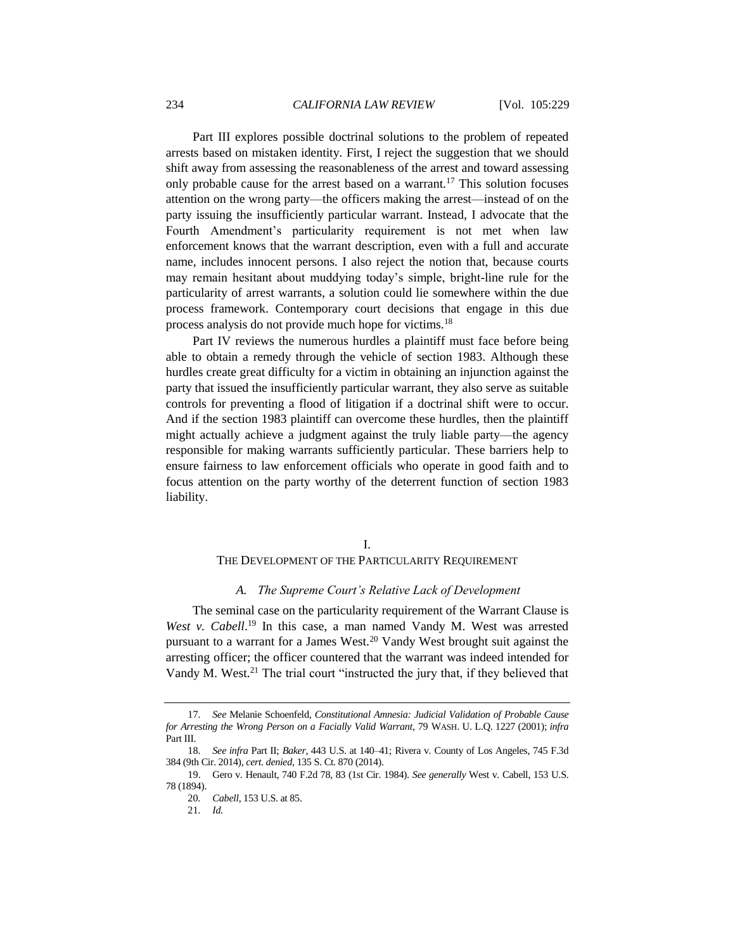<span id="page-5-0"></span>Part III explores possible doctrinal solutions to the problem of repeated arrests based on mistaken identity. First, I reject the suggestion that we should shift away from assessing the reasonableness of the arrest and toward assessing only probable cause for the arrest based on a warrant.<sup>17</sup> This solution focuses attention on the wrong party—the officers making the arrest—instead of on the party issuing the insufficiently particular warrant. Instead, I advocate that the Fourth Amendment's particularity requirement is not met when law enforcement knows that the warrant description, even with a full and accurate name, includes innocent persons. I also reject the notion that, because courts may remain hesitant about muddying today's simple, bright-line rule for the particularity of arrest warrants, a solution could lie somewhere within the due process framework. Contemporary court decisions that engage in this due process analysis do not provide much hope for victims.<sup>18</sup>

Part IV reviews the numerous hurdles a plaintiff must face before being able to obtain a remedy through the vehicle of section 1983. Although these hurdles create great difficulty for a victim in obtaining an injunction against the party that issued the insufficiently particular warrant, they also serve as suitable controls for preventing a flood of litigation if a doctrinal shift were to occur. And if the section 1983 plaintiff can overcome these hurdles, then the plaintiff might actually achieve a judgment against the truly liable party—the agency responsible for making warrants sufficiently particular. These barriers help to ensure fairness to law enforcement officials who operate in good faith and to focus attention on the party worthy of the deterrent function of section 1983 liability.

#### I.

#### THE DEVELOPMENT OF THE PARTICULARITY REQUIREMENT

## *A. The Supreme Court's Relative Lack of Development*

The seminal case on the particularity requirement of the Warrant Clause is West v. Cabell.<sup>19</sup> In this case, a man named Vandy M. West was arrested pursuant to a warrant for a James West.<sup>20</sup> Vandy West brought suit against the arresting officer; the officer countered that the warrant was indeed intended for Vandy M. West.<sup>21</sup> The trial court "instructed the jury that, if they believed that

<sup>17</sup>*. See* Melanie Schoenfeld, *Constitutional Amnesia: Judicial Validation of Probable Cause for Arresting the Wrong Person on a Facially Valid Warrant*, 79 WASH. U. L.Q. 1227 (2001); *infra* Part III.

<sup>18</sup>*. See infra* Part II; *Baker*, 443 U.S. at 140–41; Rivera v. County of Los Angeles, 745 F.3d 384 (9th Cir. 2014), *cert. denied*, 135 S. Ct. 870 (2014).

<sup>19.</sup> Gero v. Henault, 740 F.2d 78, 83 (1st Cir. 1984). *See generally* West v. Cabell, 153 U.S. 78 (1894).

<sup>20</sup>*. Cabell*, 153 U.S. at 85.

<sup>21</sup>*. Id.*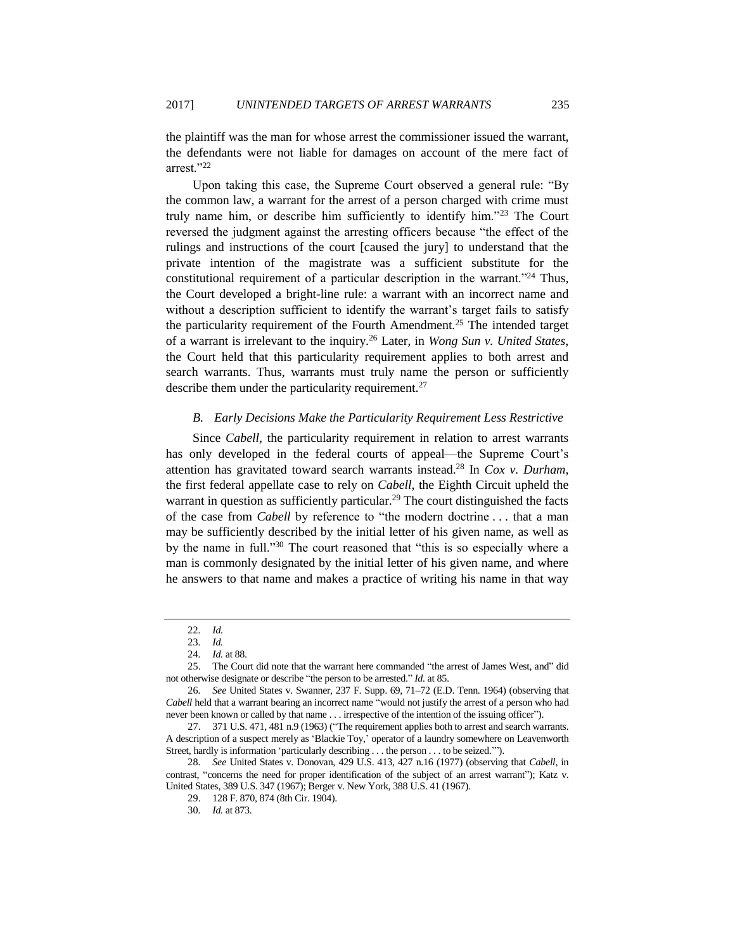the plaintiff was the man for whose arrest the commissioner issued the warrant, the defendants were not liable for damages on account of the mere fact of arrest."<sup>22</sup>

Upon taking this case, the Supreme Court observed a general rule: "By the common law, a warrant for the arrest of a person charged with crime must truly name him, or describe him sufficiently to identify him."<sup>23</sup> The Court reversed the judgment against the arresting officers because "the effect of the rulings and instructions of the court [caused the jury] to understand that the private intention of the magistrate was a sufficient substitute for the constitutional requirement of a particular description in the warrant."<sup>24</sup> Thus, the Court developed a bright-line rule: a warrant with an incorrect name and without a description sufficient to identify the warrant's target fails to satisfy the particularity requirement of the Fourth Amendment.<sup>25</sup> The intended target of a warrant is irrelevant to the inquiry.<sup>26</sup> Later, in *Wong Sun v. United States*, the Court held that this particularity requirement applies to both arrest and search warrants. Thus, warrants must truly name the person or sufficiently describe them under the particularity requirement.<sup>27</sup>

## *B. Early Decisions Make the Particularity Requirement Less Restrictive*

Since *Cabell*, the particularity requirement in relation to arrest warrants has only developed in the federal courts of appeal—the Supreme Court's attention has gravitated toward search warrants instead.<sup>28</sup> In *Cox v. Durham*, the first federal appellate case to rely on *Cabell*, the Eighth Circuit upheld the warrant in question as sufficiently particular.<sup>29</sup> The court distinguished the facts of the case from *Cabell* by reference to "the modern doctrine . . . that a man may be sufficiently described by the initial letter of his given name, as well as by the name in full."<sup>30</sup> The court reasoned that "this is so especially where a man is commonly designated by the initial letter of his given name, and where he answers to that name and makes a practice of writing his name in that way

<sup>22</sup>*. Id.*

<sup>23</sup>*. Id.*

<sup>24</sup>*. Id.* at 88.

<sup>25.</sup> The Court did note that the warrant here commanded "the arrest of James West, and" did not otherwise designate or describe "the person to be arrested." *Id.* at 85.

<sup>26</sup>*. See* United States v. Swanner, 237 F. Supp. 69, 71–72 (E.D. Tenn. 1964) (observing that *Cabell* held that a warrant bearing an incorrect name "would not justify the arrest of a person who had never been known or called by that name . . . irrespective of the intention of the issuing officer").

<sup>27.</sup> 371 U.S. 471, 481 n.9 (1963) ("The requirement applies both to arrest and search warrants. A description of a suspect merely as 'Blackie Toy,' operator of a laundry somewhere on Leavenworth Street, hardly is information 'particularly describing . . . the person . . . to be seized.'").

<sup>28</sup>*. See* United States v. Donovan, 429 U.S. 413, 427 n.16 (1977) (observing that *Cabell*, in contrast, "concerns the need for proper identification of the subject of an arrest warrant"); Katz v. United States, 389 U.S. 347 (1967); Berger v. New York, 388 U.S. 41 (1967).

<sup>29.</sup> 128 F. 870, 874 (8th Cir. 1904).

<sup>30</sup>*. Id.* at 873.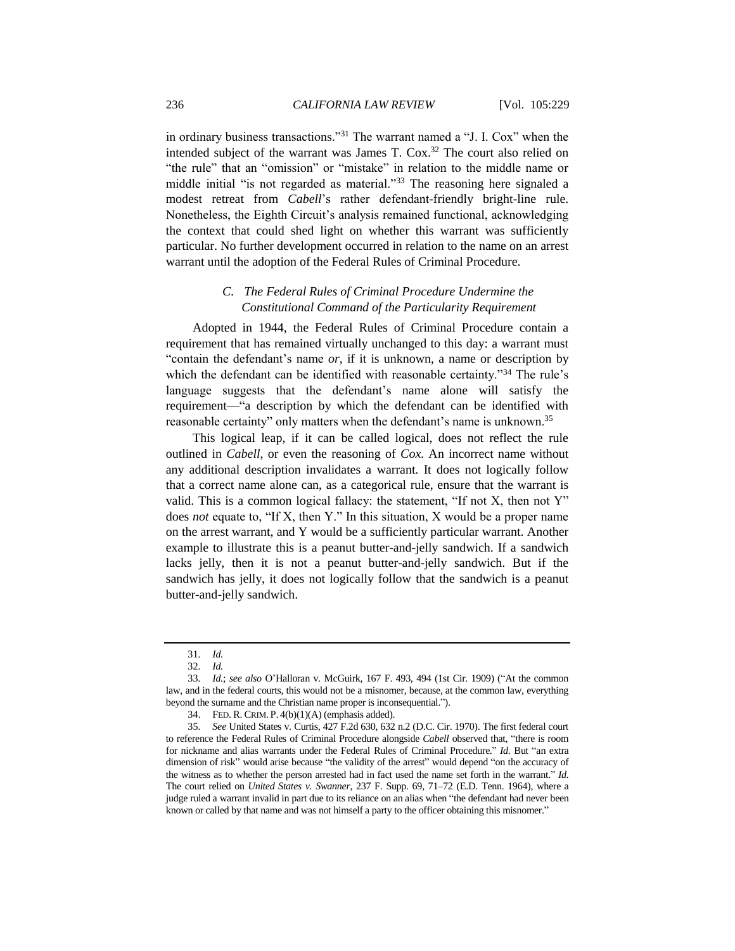in ordinary business transactions."<sup>31</sup> The warrant named a "J. I. Cox" when the intended subject of the warrant was James T. Cox.<sup>32</sup> The court also relied on "the rule" that an "omission" or "mistake" in relation to the middle name or middle initial "is not regarded as material."<sup>33</sup> The reasoning here signaled a modest retreat from *Cabell*'s rather defendant-friendly bright-line rule. Nonetheless, the Eighth Circuit's analysis remained functional, acknowledging the context that could shed light on whether this warrant was sufficiently particular. No further development occurred in relation to the name on an arrest warrant until the adoption of the Federal Rules of Criminal Procedure.

# *C. The Federal Rules of Criminal Procedure Undermine the Constitutional Command of the Particularity Requirement*

Adopted in 1944, the Federal Rules of Criminal Procedure contain a requirement that has remained virtually unchanged to this day: a warrant must "contain the defendant's name *or*, if it is unknown, a name or description by which the defendant can be identified with reasonable certainty."<sup>34</sup> The rule's language suggests that the defendant's name alone will satisfy the requirement—"a description by which the defendant can be identified with reasonable certainty" only matters when the defendant's name is unknown.<sup>35</sup>

This logical leap, if it can be called logical, does not reflect the rule outlined in *Cabell*, or even the reasoning of *Cox*. An incorrect name without any additional description invalidates a warrant. It does not logically follow that a correct name alone can, as a categorical rule, ensure that the warrant is valid. This is a common logical fallacy: the statement, "If not X, then not Y" does *not* equate to, "If X, then Y." In this situation, X would be a proper name on the arrest warrant, and Y would be a sufficiently particular warrant. Another example to illustrate this is a peanut butter-and-jelly sandwich. If a sandwich lacks jelly, then it is not a peanut butter-and-jelly sandwich. But if the sandwich has jelly, it does not logically follow that the sandwich is a peanut butter-and-jelly sandwich.

<sup>31</sup>*. Id.*

<sup>32</sup>*. Id.*

<sup>33</sup>*. Id.*; *see also* O'Halloran v. McGuirk, 167 F. 493, 494 (1st Cir. 1909) ("At the common law, and in the federal courts, this would not be a misnomer, because, at the common law, everything beyond the surname and the Christian name proper is inconsequential.").

<sup>34.</sup> FED. R. CRIM. P. 4(b)(1)(A) (emphasis added).

<sup>35</sup>*. See* United States v. Curtis, 427 F.2d 630, 632 n.2 (D.C. Cir. 1970). The first federal court to reference the Federal Rules of Criminal Procedure alongside *Cabell* observed that, "there is room for nickname and alias warrants under the Federal Rules of Criminal Procedure." *Id.* But "an extra dimension of risk" would arise because "the validity of the arrest" would depend "on the accuracy of the witness as to whether the person arrested had in fact used the name set forth in the warrant." *Id.* The court relied on *United States v. Swanner*, 237 F. Supp. 69, 71–72 (E.D. Tenn. 1964), where a judge ruled a warrant invalid in part due to its reliance on an alias when "the defendant had never been known or called by that name and was not himself a party to the officer obtaining this misnomer."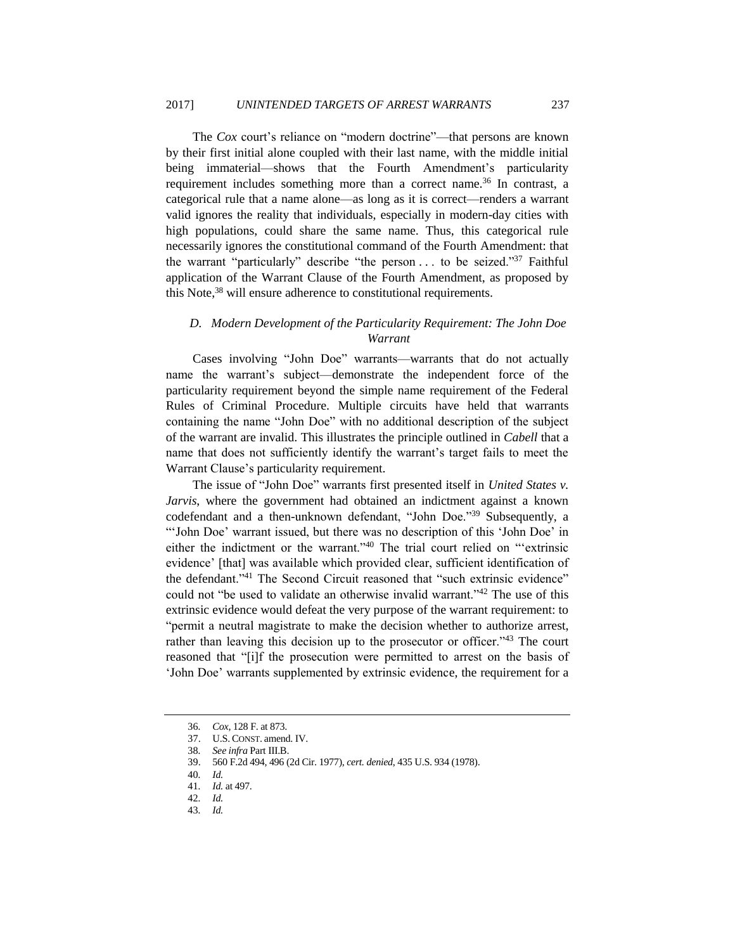The *Cox* court's reliance on "modern doctrine"—that persons are known by their first initial alone coupled with their last name, with the middle initial being immaterial—shows that the Fourth Amendment's particularity requirement includes something more than a correct name.<sup>36</sup> In contrast, a categorical rule that a name alone—as long as it is correct—renders a warrant valid ignores the reality that individuals, especially in modern-day cities with high populations, could share the same name. Thus, this categorical rule necessarily ignores the constitutional command of the Fourth Amendment: that the warrant "particularly" describe "the person . . . to be seized."<sup>37</sup> Faithful application of the Warrant Clause of the Fourth Amendment, as proposed by this Note, <sup>38</sup> will ensure adherence to constitutional requirements.

# *D. Modern Development of the Particularity Requirement: The John Doe Warrant*

Cases involving "John Doe" warrants—warrants that do not actually name the warrant's subject—demonstrate the independent force of the particularity requirement beyond the simple name requirement of the Federal Rules of Criminal Procedure. Multiple circuits have held that warrants containing the name "John Doe" with no additional description of the subject of the warrant are invalid. This illustrates the principle outlined in *Cabell* that a name that does not sufficiently identify the warrant's target fails to meet the Warrant Clause's particularity requirement.

The issue of "John Doe" warrants first presented itself in *United States v. Jarvis*, where the government had obtained an indictment against a known codefendant and a then-unknown defendant, "John Doe."<sup>39</sup> Subsequently, a "'John Doe' warrant issued, but there was no description of this 'John Doe' in either the indictment or the warrant."<sup>40</sup> The trial court relied on "'extrinsic evidence' [that] was available which provided clear, sufficient identification of the defendant."<sup>41</sup> The Second Circuit reasoned that "such extrinsic evidence" could not "be used to validate an otherwise invalid warrant."<sup>42</sup> The use of this extrinsic evidence would defeat the very purpose of the warrant requirement: to "permit a neutral magistrate to make the decision whether to authorize arrest, rather than leaving this decision up to the prosecutor or officer."<sup>43</sup> The court reasoned that "[i]f the prosecution were permitted to arrest on the basis of 'John Doe' warrants supplemented by extrinsic evidence, the requirement for a

<sup>36</sup>*. Cox*, 128 F. at 873.

<sup>37.</sup> U.S. CONST. amend. IV.

<sup>38</sup>*. See infra* Part III.B.

<sup>39.</sup> 560 F.2d 494, 496 (2d Cir. 1977), *cert. denied*, 435 U.S. 934 (1978).

<sup>40</sup>*. Id.*

<sup>41</sup>*. Id.* at 497.

<sup>42</sup>*. Id.*

<sup>43</sup>*. Id.*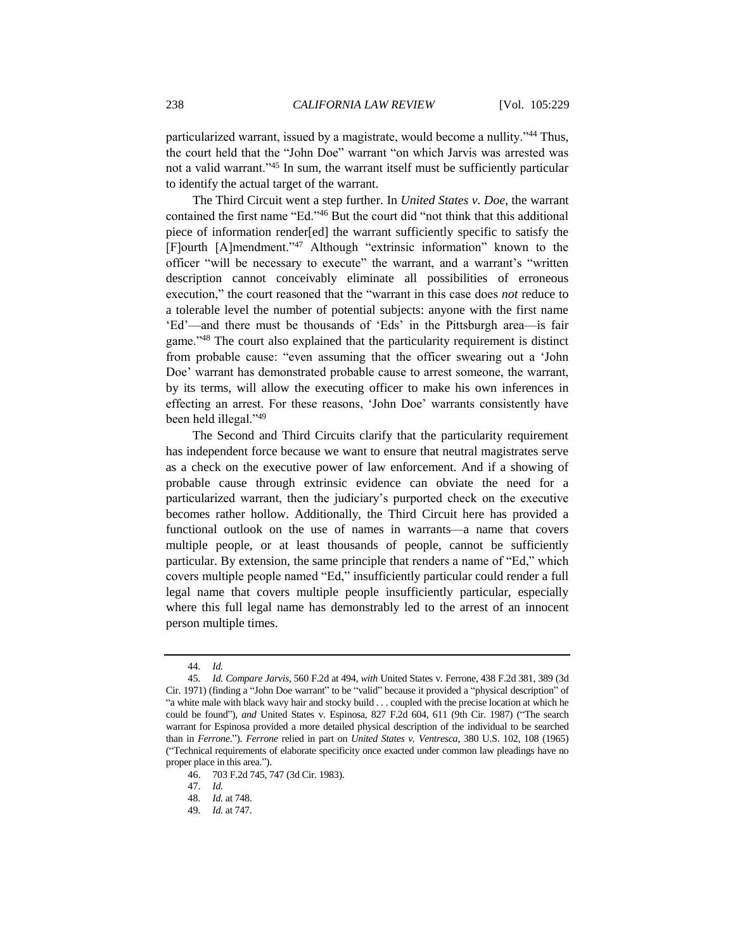particularized warrant, issued by a magistrate, would become a nullity."<sup>44</sup> Thus, the court held that the "John Doe" warrant "on which Jarvis was arrested was not a valid warrant."<sup>45</sup> In sum, the warrant itself must be sufficiently particular to identify the actual target of the warrant.

The Third Circuit went a step further. In *United States v. Doe*, the warrant contained the first name "Ed."<sup>46</sup> But the court did "not think that this additional piece of information render[ed] the warrant sufficiently specific to satisfy the [F]ourth [A]mendment."<sup>47</sup> Although "extrinsic information" known to the officer "will be necessary to execute" the warrant, and a warrant's "written description cannot conceivably eliminate all possibilities of erroneous execution," the court reasoned that the "warrant in this case does *not* reduce to a tolerable level the number of potential subjects: anyone with the first name 'Ed'—and there must be thousands of 'Eds' in the Pittsburgh area—is fair game."<sup>48</sup> The court also explained that the particularity requirement is distinct from probable cause: "even assuming that the officer swearing out a 'John Doe' warrant has demonstrated probable cause to arrest someone, the warrant, by its terms, will allow the executing officer to make his own inferences in effecting an arrest. For these reasons, 'John Doe' warrants consistently have been held illegal."<sup>49</sup>

The Second and Third Circuits clarify that the particularity requirement has independent force because we want to ensure that neutral magistrates serve as a check on the executive power of law enforcement. And if a showing of probable cause through extrinsic evidence can obviate the need for a particularized warrant, then the judiciary's purported check on the executive becomes rather hollow. Additionally, the Third Circuit here has provided a functional outlook on the use of names in warrants—a name that covers multiple people, or at least thousands of people, cannot be sufficiently particular. By extension, the same principle that renders a name of "Ed," which covers multiple people named "Ed," insufficiently particular could render a full legal name that covers multiple people insufficiently particular, especially where this full legal name has demonstrably led to the arrest of an innocent person multiple times.

<sup>44</sup>*. Id.*

<sup>45</sup>*. Id. Compare Jarvis*, 560 F.2d at 494, *with* United States v. Ferrone, 438 F.2d 381, 389 (3d Cir. 1971) (finding a "John Doe warrant" to be "valid" because it provided a "physical description" of "a white male with black wavy hair and stocky build . . . coupled with the precise location at which he could be found"), *and* United States v. Espinosa, 827 F.2d 604, 611 (9th Cir. 1987) ("The search warrant for Espinosa provided a more detailed physical description of the individual to be searched than in *Ferrone*."). *Ferrone* relied in part on *United States v. Ventresca*, 380 U.S. 102, 108 (1965) ("Technical requirements of elaborate specificity once exacted under common law pleadings have no proper place in this area.").

<sup>46.</sup> 703 F.2d 745, 747 (3d Cir. 1983).

<sup>47</sup>*. Id.*

<sup>48</sup>*. Id.* at 748.

<sup>49</sup>*. Id.* at 747.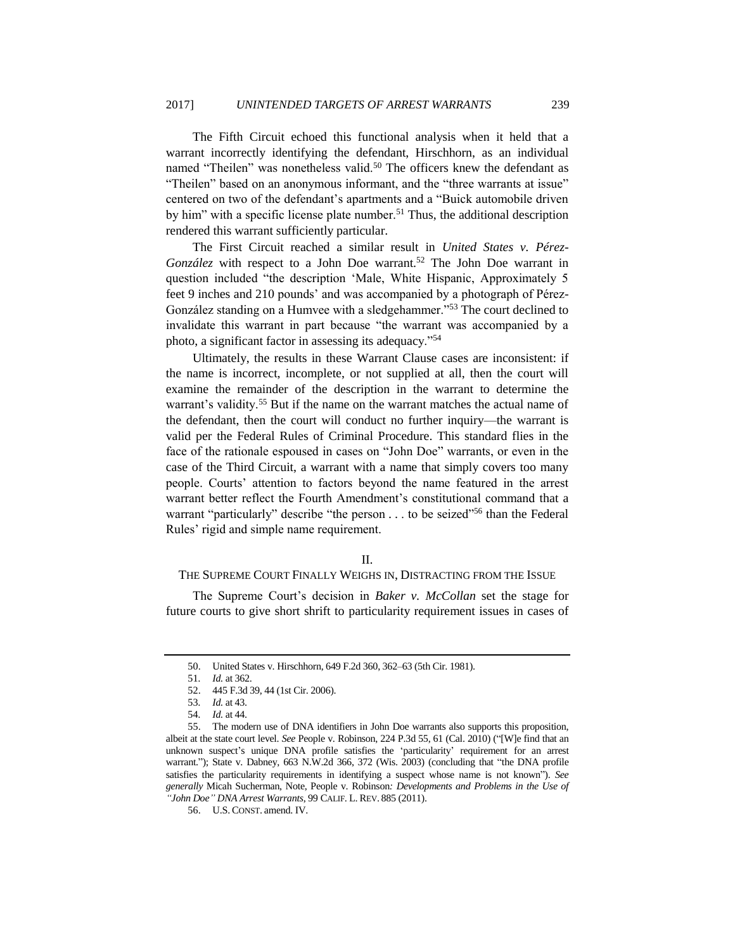The Fifth Circuit echoed this functional analysis when it held that a warrant incorrectly identifying the defendant, Hirschhorn, as an individual named "Theilen" was nonetheless valid.<sup>50</sup> The officers knew the defendant as "Theilen" based on an anonymous informant, and the "three warrants at issue" centered on two of the defendant's apartments and a "Buick automobile driven by him" with a specific license plate number.<sup>51</sup> Thus, the additional description rendered this warrant sufficiently particular.

The First Circuit reached a similar result in *United States v. Pérez-González* with respect to a John Doe warrant.<sup>52</sup> The John Doe warrant in question included "the description 'Male, White Hispanic, Approximately 5 feet 9 inches and 210 pounds' and was accompanied by a photograph of Pérez-González standing on a Humvee with a sledgehammer."<sup>53</sup> The court declined to invalidate this warrant in part because "the warrant was accompanied by a photo, a significant factor in assessing its adequacy."<sup>54</sup>

Ultimately, the results in these Warrant Clause cases are inconsistent: if the name is incorrect, incomplete, or not supplied at all, then the court will examine the remainder of the description in the warrant to determine the warrant's validity.<sup>55</sup> But if the name on the warrant matches the actual name of the defendant, then the court will conduct no further inquiry—the warrant is valid per the Federal Rules of Criminal Procedure. This standard flies in the face of the rationale espoused in cases on "John Doe" warrants, or even in the case of the Third Circuit, a warrant with a name that simply covers too many people. Courts' attention to factors beyond the name featured in the arrest warrant better reflect the Fourth Amendment's constitutional command that a warrant "particularly" describe "the person . . . to be seized"<sup>56</sup> than the Federal Rules' rigid and simple name requirement.

## II.

## THE SUPREME COURT FINALLY WEIGHS IN, DISTRACTING FROM THE ISSUE

The Supreme Court's decision in *Baker v. McCollan* set the stage for future courts to give short shrift to particularity requirement issues in cases of

<sup>50.</sup> United States v. Hirschhorn, 649 F.2d 360, 362–63 (5th Cir. 1981).

<sup>51</sup>*. Id.* at 362.

<sup>52.</sup> 445 F.3d 39, 44 (1st Cir. 2006).

<sup>53</sup>*. Id.* at 43.

<sup>54</sup>*. Id.* at 44.

<sup>55.</sup> The modern use of DNA identifiers in John Doe warrants also supports this proposition, albeit at the state court level. *See* People v. Robinson, 224 P.3d 55, 61 (Cal. 2010) ("[W]e find that an unknown suspect's unique DNA profile satisfies the 'particularity' requirement for an arrest warrant."); State v. Dabney, 663 N.W.2d 366, 372 (Wis. 2003) (concluding that "the DNA profile satisfies the particularity requirements in identifying a suspect whose name is not known"). *See generally* Micah Sucherman, Note, People v. Robinson*: Developments and Problems in the Use of "John Doe" DNA Arrest Warrants*, 99 CALIF. L. REV. 885 (2011).

<sup>56.</sup> U.S. CONST. amend. IV.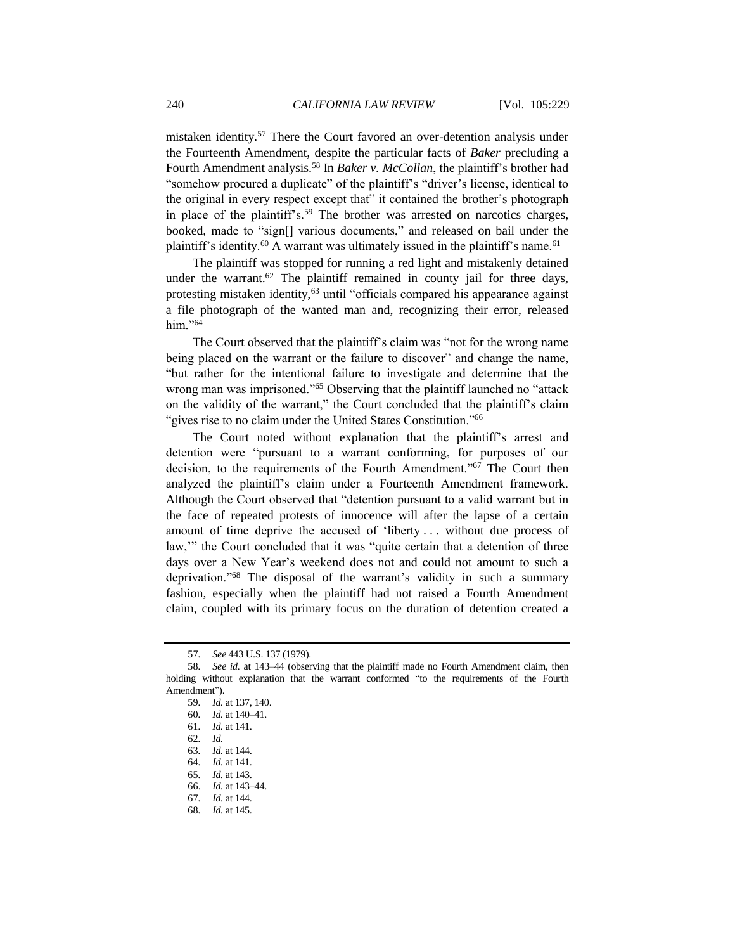mistaken identity.<sup>57</sup> There the Court favored an over-detention analysis under the Fourteenth Amendment, despite the particular facts of *Baker* precluding a Fourth Amendment analysis.<sup>58</sup> In *Baker v. McCollan*, the plaintiff's brother had "somehow procured a duplicate" of the plaintiff's "driver's license, identical to the original in every respect except that" it contained the brother's photograph in place of the plaintiff's.<sup>59</sup> The brother was arrested on narcotics charges, booked, made to "sign[] various documents," and released on bail under the plaintiff's identity.<sup>60</sup> A warrant was ultimately issued in the plaintiff's name.<sup>61</sup>

The plaintiff was stopped for running a red light and mistakenly detained under the warrant.<sup>62</sup> The plaintiff remained in county jail for three days, protesting mistaken identity,<sup>63</sup> until "officials compared his appearance against a file photograph of the wanted man and, recognizing their error, released him."<sup>64</sup>

The Court observed that the plaintiff's claim was "not for the wrong name being placed on the warrant or the failure to discover" and change the name, "but rather for the intentional failure to investigate and determine that the wrong man was imprisoned."<sup>65</sup> Observing that the plaintiff launched no "attack on the validity of the warrant," the Court concluded that the plaintiff's claim "gives rise to no claim under the United States Constitution."<sup>66</sup>

The Court noted without explanation that the plaintiff's arrest and detention were "pursuant to a warrant conforming, for purposes of our decision, to the requirements of the Fourth Amendment."<sup>67</sup> The Court then analyzed the plaintiff's claim under a Fourteenth Amendment framework. Although the Court observed that "detention pursuant to a valid warrant but in the face of repeated protests of innocence will after the lapse of a certain amount of time deprive the accused of 'liberty . . . without due process of law,'" the Court concluded that it was "quite certain that a detention of three days over a New Year's weekend does not and could not amount to such a deprivation."<sup>68</sup> The disposal of the warrant's validity in such a summary fashion, especially when the plaintiff had not raised a Fourth Amendment claim, coupled with its primary focus on the duration of detention created a

<sup>57</sup>*. See* 443 U.S. 137 (1979).

<sup>58</sup>*. See id.* at 143–44 (observing that the plaintiff made no Fourth Amendment claim, then holding without explanation that the warrant conformed "to the requirements of the Fourth Amendment").

<sup>59</sup>*. Id.* at 137, 140.

<sup>60</sup>*. Id.* at 140–41.

<sup>61</sup>*. Id.* at 141.

<sup>62</sup>*. Id.*

<sup>63</sup>*. Id.* at 144.

<sup>64</sup>*. Id.* at 141.

<sup>65</sup>*. Id.* at 143.

<sup>66.</sup> *Id.* at 143–44.

<sup>67</sup>*. Id.* at 144.

<sup>68</sup>*. Id.* at 145.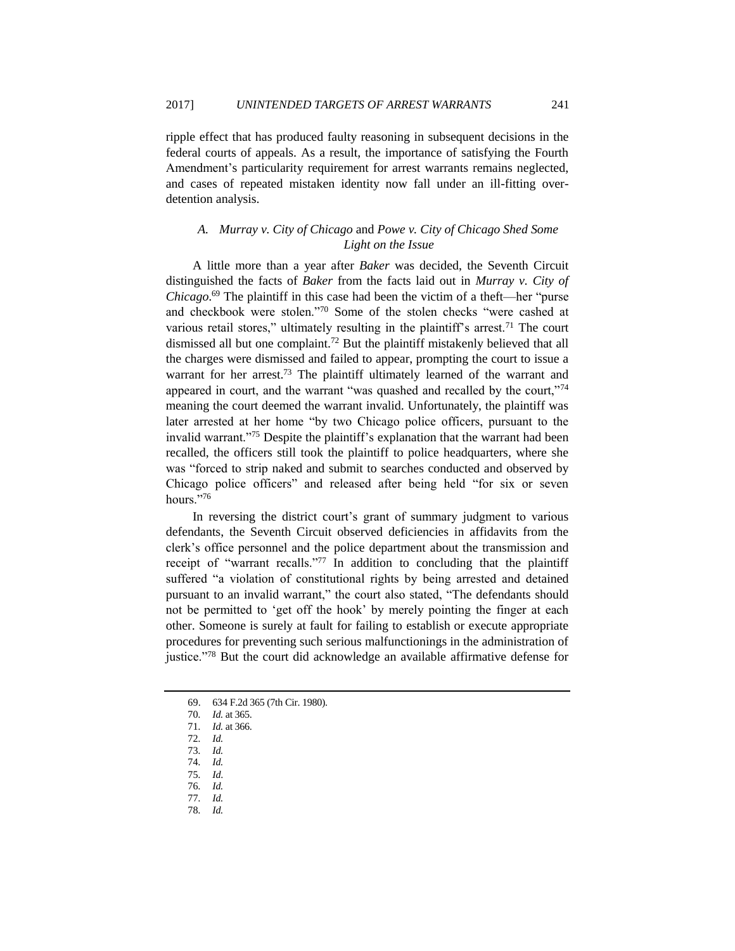ripple effect that has produced faulty reasoning in subsequent decisions in the federal courts of appeals. As a result, the importance of satisfying the Fourth Amendment's particularity requirement for arrest warrants remains neglected, and cases of repeated mistaken identity now fall under an ill-fitting overdetention analysis.

# *A. Murray v. City of Chicago* and *Powe v. City of Chicago Shed Some Light on the Issue*

A little more than a year after *Baker* was decided, the Seventh Circuit distinguished the facts of *Baker* from the facts laid out in *Murray v. City of Chicago*. <sup>69</sup> The plaintiff in this case had been the victim of a theft—her "purse and checkbook were stolen."<sup>70</sup> Some of the stolen checks "were cashed at various retail stores," ultimately resulting in the plaintiff's arrest.<sup>71</sup> The court dismissed all but one complaint.<sup>72</sup> But the plaintiff mistakenly believed that all the charges were dismissed and failed to appear, prompting the court to issue a warrant for her arrest.<sup>73</sup> The plaintiff ultimately learned of the warrant and appeared in court, and the warrant "was quashed and recalled by the court,"74 meaning the court deemed the warrant invalid. Unfortunately, the plaintiff was later arrested at her home "by two Chicago police officers, pursuant to the invalid warrant."<sup>75</sup> Despite the plaintiff's explanation that the warrant had been recalled, the officers still took the plaintiff to police headquarters, where she was "forced to strip naked and submit to searches conducted and observed by Chicago police officers" and released after being held "for six or seven hours."<sup>76</sup>

In reversing the district court's grant of summary judgment to various defendants, the Seventh Circuit observed deficiencies in affidavits from the clerk's office personnel and the police department about the transmission and receipt of "warrant recalls."<sup>77</sup> In addition to concluding that the plaintiff suffered "a violation of constitutional rights by being arrested and detained pursuant to an invalid warrant," the court also stated, "The defendants should not be permitted to 'get off the hook' by merely pointing the finger at each other. Someone is surely at fault for failing to establish or execute appropriate procedures for preventing such serious malfunctionings in the administration of justice."<sup>78</sup> But the court did acknowledge an available affirmative defense for

- 72*. Id.*
- 73*. Id.*
- 74*. Id.*
- 75*. Id*.
- 76*. Id.*
- 77*. Id.*
- 78*. Id.*

<sup>69.</sup> 634 F.2d 365 (7th Cir. 1980).

<sup>70</sup>*. Id.* at 365.

<sup>71</sup>*. Id.* at 366.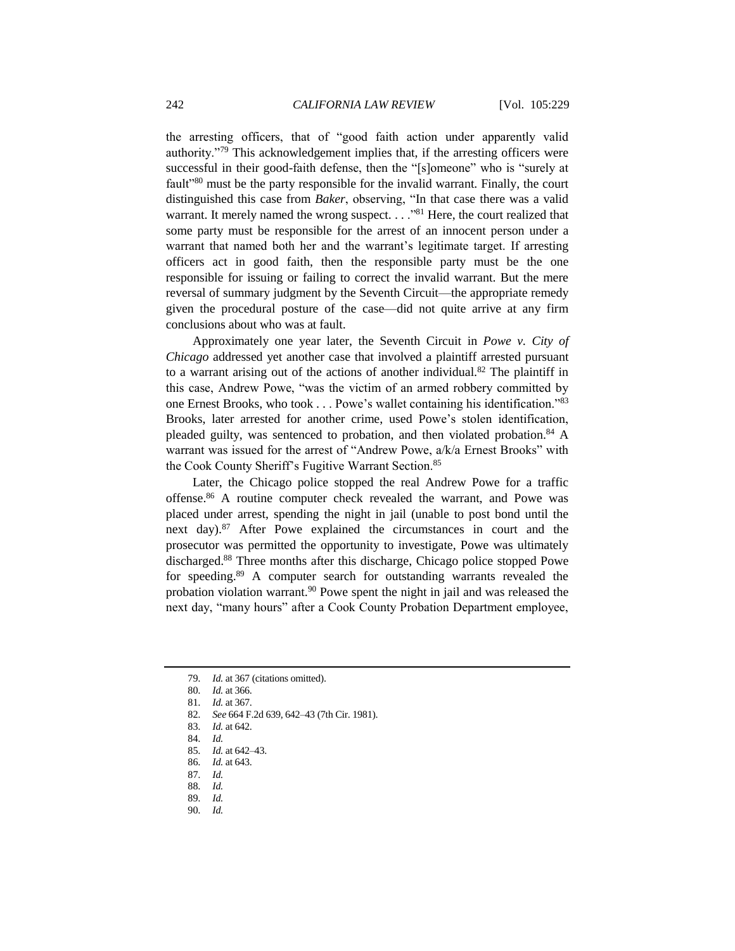the arresting officers, that of "good faith action under apparently valid authority."<sup>79</sup> This acknowledgement implies that, if the arresting officers were successful in their good-faith defense, then the "[s]omeone" who is "surely at fault<sup>1980</sup> must be the party responsible for the invalid warrant. Finally, the court distinguished this case from *Baker*, observing, "In that case there was a valid warrant. It merely named the wrong suspect. . . . "81 Here, the court realized that some party must be responsible for the arrest of an innocent person under a warrant that named both her and the warrant's legitimate target. If arresting officers act in good faith, then the responsible party must be the one responsible for issuing or failing to correct the invalid warrant. But the mere reversal of summary judgment by the Seventh Circuit—the appropriate remedy given the procedural posture of the case—did not quite arrive at any firm conclusions about who was at fault.

Approximately one year later, the Seventh Circuit in *Powe v. City of Chicago* addressed yet another case that involved a plaintiff arrested pursuant to a warrant arising out of the actions of another individual.<sup>82</sup> The plaintiff in this case, Andrew Powe, "was the victim of an armed robbery committed by one Ernest Brooks, who took . . . Powe's wallet containing his identification."<sup>83</sup> Brooks, later arrested for another crime, used Powe's stolen identification, pleaded guilty, was sentenced to probation, and then violated probation.<sup>84</sup> A warrant was issued for the arrest of "Andrew Powe, a/k/a Ernest Brooks" with the Cook County Sheriff's Fugitive Warrant Section.<sup>85</sup>

Later, the Chicago police stopped the real Andrew Powe for a traffic offense.<sup>86</sup> A routine computer check revealed the warrant, and Powe was placed under arrest, spending the night in jail (unable to post bond until the next day).<sup>87</sup> After Powe explained the circumstances in court and the prosecutor was permitted the opportunity to investigate, Powe was ultimately discharged.<sup>88</sup> Three months after this discharge, Chicago police stopped Powe for speeding.<sup>89</sup> A computer search for outstanding warrants revealed the probation violation warrant.<sup>90</sup> Powe spent the night in jail and was released the next day, "many hours" after a Cook County Probation Department employee,

90*. Id.*

<sup>79</sup>*. Id.* at 367 (citations omitted).

<sup>80</sup>*. Id.* at 366.

<sup>81</sup>*. Id.* at 367.

<sup>82</sup>*. See* 664 F.2d 639, 642–43 (7th Cir. 1981).

<sup>83</sup>*. Id.* at 642.

<sup>84</sup>*. Id.*

<sup>85</sup>*. Id.* at 642–43.

<sup>86</sup>*. Id.* at 643.

<sup>87</sup>*. Id.*

<sup>88</sup>*. Id.*

<sup>89</sup>*. Id.*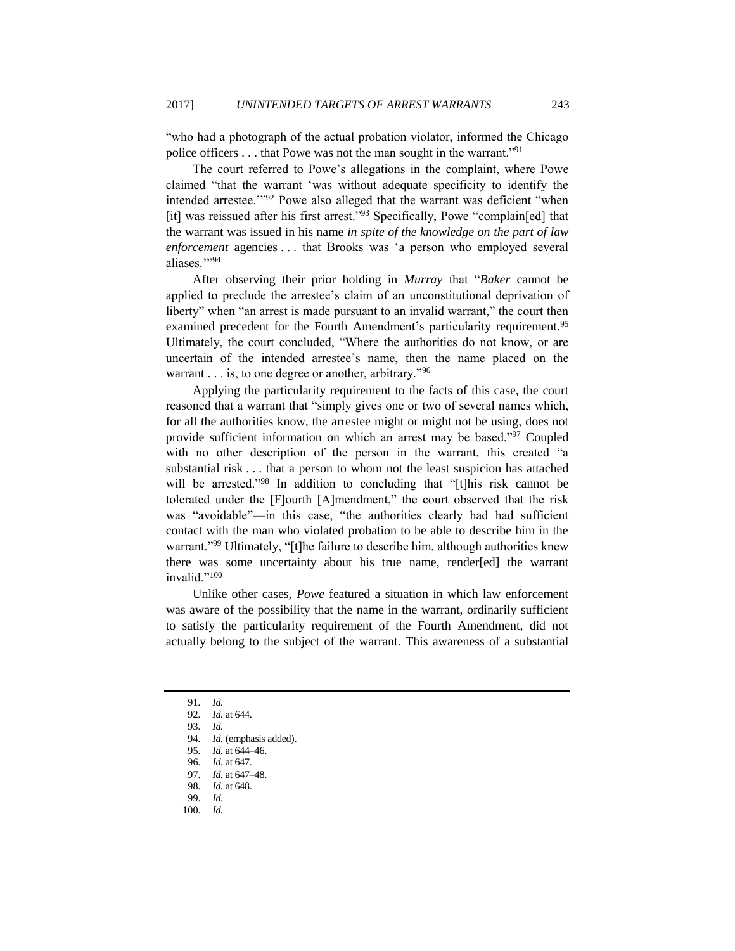"who had a photograph of the actual probation violator, informed the Chicago police officers . . . that Powe was not the man sought in the warrant."<sup>91</sup>

The court referred to Powe's allegations in the complaint, where Powe claimed "that the warrant 'was without adequate specificity to identify the intended arrestee.'"<sup>92</sup> Powe also alleged that the warrant was deficient "when [it] was reissued after his first arrest."<sup>93</sup> Specifically, Powe "complain[ed] that the warrant was issued in his name *in spite of the knowledge on the part of law enforcement* agencies . . . that Brooks was 'a person who employed several aliases."<sup>94</sup>

After observing their prior holding in *Murray* that "*Baker* cannot be applied to preclude the arrestee's claim of an unconstitutional deprivation of liberty" when "an arrest is made pursuant to an invalid warrant," the court then examined precedent for the Fourth Amendment's particularity requirement.<sup>95</sup> Ultimately, the court concluded, "Where the authorities do not know, or are uncertain of the intended arrestee's name, then the name placed on the warrant  $\ldots$  is, to one degree or another, arbitrary."<sup>96</sup>

Applying the particularity requirement to the facts of this case, the court reasoned that a warrant that "simply gives one or two of several names which, for all the authorities know, the arrestee might or might not be using, does not provide sufficient information on which an arrest may be based."<sup>97</sup> Coupled with no other description of the person in the warrant, this created "a substantial risk . . . that a person to whom not the least suspicion has attached will be arrested."<sup>98</sup> In addition to concluding that "[t]his risk cannot be tolerated under the [F]ourth [A]mendment," the court observed that the risk was "avoidable"—in this case, "the authorities clearly had had sufficient contact with the man who violated probation to be able to describe him in the warrant."<sup>99</sup> Ultimately, "[t]he failure to describe him, although authorities knew there was some uncertainty about his true name, render[ed] the warrant invalid."<sup>100</sup>

Unlike other cases, *Powe* featured a situation in which law enforcement was aware of the possibility that the name in the warrant, ordinarily sufficient to satisfy the particularity requirement of the Fourth Amendment, did not actually belong to the subject of the warrant. This awareness of a substantial

100*. Id.*

<sup>91</sup>*. Id.*

<sup>92</sup>*. Id.* at 644.

<sup>93</sup>*. Id.*

<sup>94</sup>*. Id.* (emphasis added).

<sup>95</sup>*. Id.* at 644–46.

<sup>96</sup>*. Id.* at 647.

<sup>97</sup>*. Id.* at 647–48.

<sup>98</sup>*. Id.* at 648.

<sup>99</sup>*. Id.*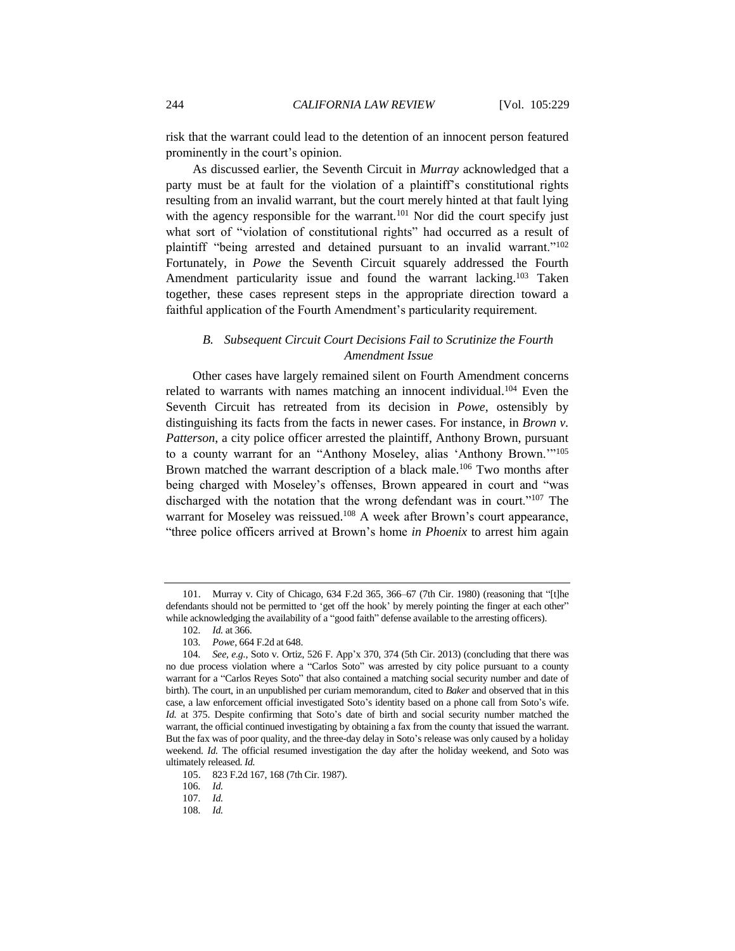risk that the warrant could lead to the detention of an innocent person featured prominently in the court's opinion.

As discussed earlier, the Seventh Circuit in *Murray* acknowledged that a party must be at fault for the violation of a plaintiff's constitutional rights resulting from an invalid warrant, but the court merely hinted at that fault lying with the agency responsible for the warrant.<sup>101</sup> Nor did the court specify just what sort of "violation of constitutional rights" had occurred as a result of plaintiff "being arrested and detained pursuant to an invalid warrant."<sup>102</sup> Fortunately, in *Powe* the Seventh Circuit squarely addressed the Fourth Amendment particularity issue and found the warrant lacking.<sup>103</sup> Taken together, these cases represent steps in the appropriate direction toward a faithful application of the Fourth Amendment's particularity requirement.

# *B. Subsequent Circuit Court Decisions Fail to Scrutinize the Fourth Amendment Issue*

Other cases have largely remained silent on Fourth Amendment concerns related to warrants with names matching an innocent individual.<sup>104</sup> Even the Seventh Circuit has retreated from its decision in *Powe*, ostensibly by distinguishing its facts from the facts in newer cases. For instance, in *Brown v. Patterson*, a city police officer arrested the plaintiff, Anthony Brown, pursuant to a county warrant for an "Anthony Moseley, alias 'Anthony Brown.'"<sup>105</sup> Brown matched the warrant description of a black male.<sup>106</sup> Two months after being charged with Moseley's offenses, Brown appeared in court and "was discharged with the notation that the wrong defendant was in court."<sup>107</sup> The warrant for Moseley was reissued.<sup>108</sup> A week after Brown's court appearance, "three police officers arrived at Brown's home *in Phoenix* to arrest him again

<sup>101.</sup> Murray v. City of Chicago, 634 F.2d 365, 366–67 (7th Cir. 1980) (reasoning that "[t]he defendants should not be permitted to 'get off the hook' by merely pointing the finger at each other" while acknowledging the availability of a "good faith" defense available to the arresting officers).

<sup>102</sup>*. Id.* at 366.

<sup>103</sup>*. Powe*, 664 F.2d at 648.

<sup>104</sup>*. See, e.g.*, Soto v. Ortiz, 526 F. App'x 370, 374 (5th Cir. 2013) (concluding that there was no due process violation where a "Carlos Soto" was arrested by city police pursuant to a county warrant for a "Carlos Reyes Soto" that also contained a matching social security number and date of birth). The court, in an unpublished per curiam memorandum, cited to *Baker* and observed that in this case, a law enforcement official investigated Soto's identity based on a phone call from Soto's wife. *Id.* at 375. Despite confirming that Soto's date of birth and social security number matched the warrant, the official continued investigating by obtaining a fax from the county that issued the warrant. But the fax was of poor quality, and the three-day delay in Soto's release was only caused by a holiday weekend. *Id.* The official resumed investigation the day after the holiday weekend, and Soto was ultimately released. *Id.*

<sup>105.</sup> 823 F.2d 167, 168 (7th Cir. 1987).

<sup>106</sup>*. Id.*

<sup>107</sup>*. Id.*

<sup>108</sup>*. Id.*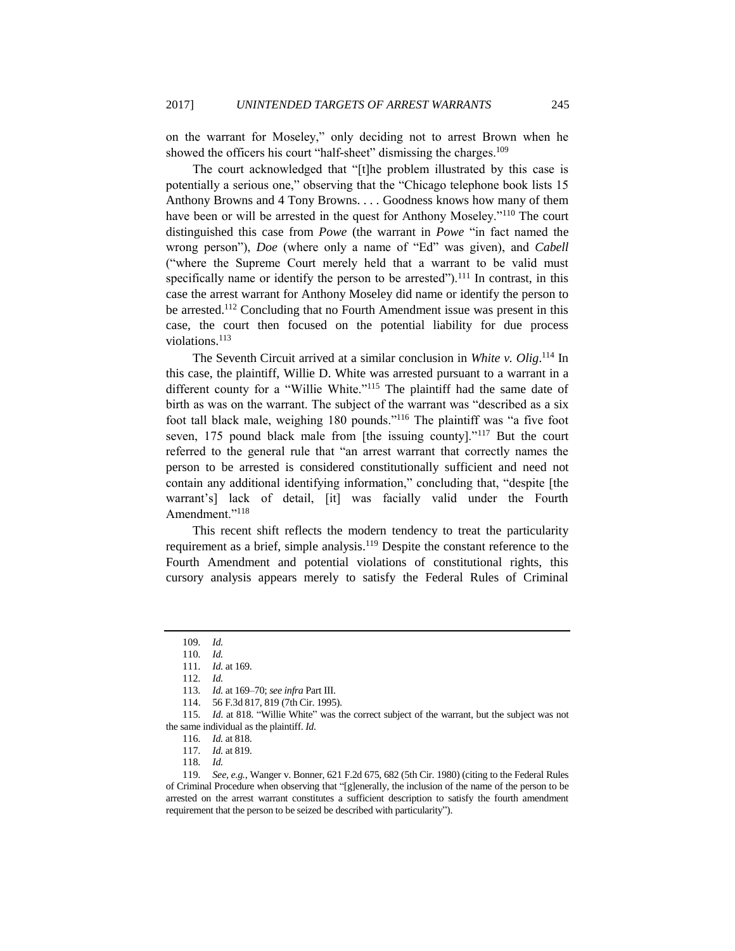on the warrant for Moseley," only deciding not to arrest Brown when he showed the officers his court "half-sheet" dismissing the charges.<sup>109</sup>

The court acknowledged that "[t]he problem illustrated by this case is potentially a serious one," observing that the "Chicago telephone book lists 15 Anthony Browns and 4 Tony Browns. . . . Goodness knows how many of them have been or will be arrested in the quest for Anthony Moseley."<sup>110</sup> The court distinguished this case from *Powe* (the warrant in *Powe* "in fact named the wrong person"), *Doe* (where only a name of "Ed" was given), and *Cabell* ("where the Supreme Court merely held that a warrant to be valid must specifically name or identify the person to be arrested").<sup>111</sup> In contrast, in this case the arrest warrant for Anthony Moseley did name or identify the person to be arrested.<sup>112</sup> Concluding that no Fourth Amendment issue was present in this case, the court then focused on the potential liability for due process violations.<sup>113</sup>

The Seventh Circuit arrived at a similar conclusion in *White v. Olig*. <sup>114</sup> In this case, the plaintiff, Willie D. White was arrested pursuant to a warrant in a different county for a "Willie White."<sup>115</sup> The plaintiff had the same date of birth as was on the warrant. The subject of the warrant was "described as a six foot tall black male, weighing 180 pounds."<sup>116</sup> The plaintiff was "a five foot seven, 175 pound black male from [the issuing county]."<sup>117</sup> But the court referred to the general rule that "an arrest warrant that correctly names the person to be arrested is considered constitutionally sufficient and need not contain any additional identifying information," concluding that, "despite [the warrant's] lack of detail, [it] was facially valid under the Fourth Amendment."<sup>118</sup>

This recent shift reflects the modern tendency to treat the particularity requirement as a brief, simple analysis.<sup>119</sup> Despite the constant reference to the Fourth Amendment and potential violations of constitutional rights, this cursory analysis appears merely to satisfy the Federal Rules of Criminal

<sup>109</sup>*. Id.*

<sup>110</sup>*. Id.*

<sup>111</sup>*. Id.* at 169.

<sup>112</sup>*. Id.*

<sup>113</sup>*. Id.* at 169–70; *see infra* Part III.

<sup>114.</sup> 56 F.3d 817, 819 (7th Cir. 1995).

<sup>115</sup>*. Id*. at 818. "Willie White" was the correct subject of the warrant, but the subject was not the same individual as the plaintiff. *Id.*

<sup>116</sup>*. Id.* at 818.

<sup>117</sup>*. Id.* at 819.

<sup>118</sup>*. Id.*

<sup>119</sup>*. See, e.g.*, Wanger v. Bonner, 621 F.2d 675, 682 (5th Cir. 1980) (citing to the Federal Rules of Criminal Procedure when observing that "[g]enerally, the inclusion of the name of the person to be arrested on the arrest warrant constitutes a sufficient description to satisfy the fourth amendment requirement that the person to be seized be described with particularity").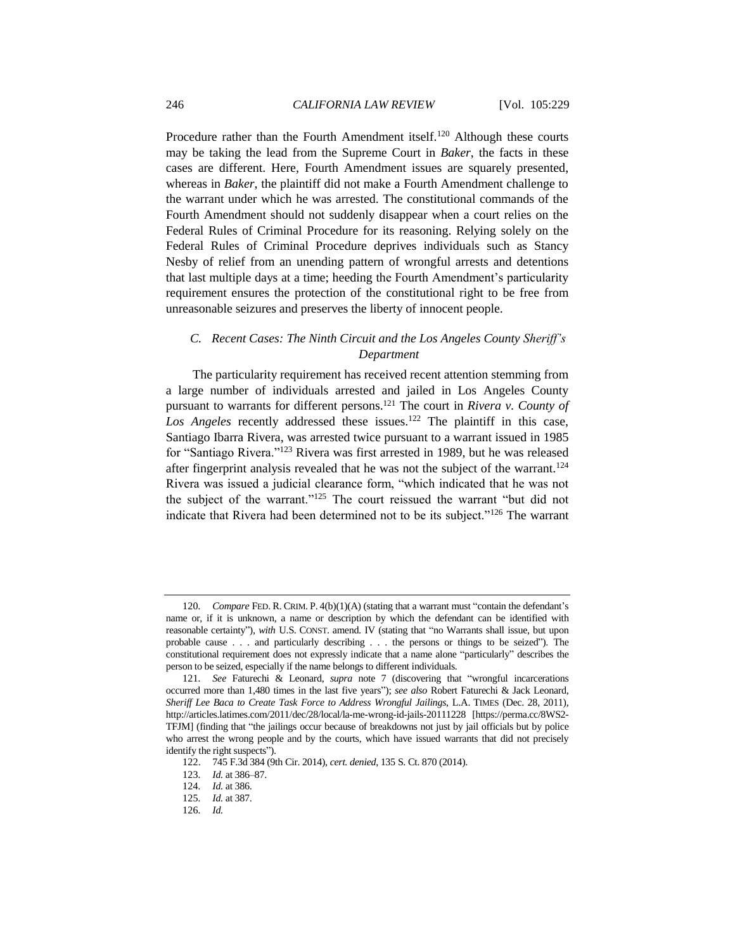Procedure rather than the Fourth Amendment itself.<sup>120</sup> Although these courts may be taking the lead from the Supreme Court in *Baker*, the facts in these cases are different. Here, Fourth Amendment issues are squarely presented, whereas in *Baker*, the plaintiff did not make a Fourth Amendment challenge to the warrant under which he was arrested. The constitutional commands of the Fourth Amendment should not suddenly disappear when a court relies on the Federal Rules of Criminal Procedure for its reasoning. Relying solely on the Federal Rules of Criminal Procedure deprives individuals such as Stancy Nesby of relief from an unending pattern of wrongful arrests and detentions that last multiple days at a time; heeding the Fourth Amendment's particularity requirement ensures the protection of the constitutional right to be free from unreasonable seizures and preserves the liberty of innocent people.

## *C. Recent Cases: The Ninth Circuit and the Los Angeles County Sheriff's Department*

The particularity requirement has received recent attention stemming from a large number of individuals arrested and jailed in Los Angeles County pursuant to warrants for different persons.<sup>121</sup> The court in *Rivera v. County of*  Los Angeles recently addressed these issues.<sup>122</sup> The plaintiff in this case, Santiago Ibarra Rivera, was arrested twice pursuant to a warrant issued in 1985 for "Santiago Rivera."<sup>123</sup> Rivera was first arrested in 1989, but he was released after fingerprint analysis revealed that he was not the subject of the warrant.<sup>124</sup> Rivera was issued a judicial clearance form, "which indicated that he was not the subject of the warrant."<sup>125</sup> The court reissued the warrant "but did not indicate that Rivera had been determined not to be its subject."<sup>126</sup> The warrant

<sup>120</sup>*. Compare* FED. R. CRIM. P. 4(b)(1)(A) (stating that a warrant must "contain the defendant's name or, if it is unknown, a name or description by which the defendant can be identified with reasonable certainty"), *with* U.S. CONST. amend. IV (stating that "no Warrants shall issue, but upon probable cause . . . and particularly describing . . . the persons or things to be seized"). The constitutional requirement does not expressly indicate that a name alone "particularly" describes the person to be seized, especially if the name belongs to different individuals.

<sup>121</sup>*. See* Faturechi & Leonard, *supra* note [7](#page-3-0) (discovering that "wrongful incarcerations occurred more than 1,480 times in the last five years"); *see also* Robert Faturechi & Jack Leonard, *Sheriff Lee Baca to Create Task Force to Address Wrongful Jailings*, L.A. TIMES (Dec. 28, 2011), http://articles.latimes.com/2011/dec/28/local/la-me-wrong-id-jails-20111228 [https://perma.cc/8WS2- TFJM] (finding that "the jailings occur because of breakdowns not just by jail officials but by police who arrest the wrong people and by the courts, which have issued warrants that did not precisely identify the right suspects").

<sup>122.</sup> 745 F.3d 384 (9th Cir. 2014), *cert. denied*, 135 S. Ct. 870 (2014).

<sup>123</sup>*. Id.* at 386–87.

<sup>124</sup>*. Id.* at 386.

<sup>125</sup>*. Id.* at 387.

<sup>126</sup>*. Id.*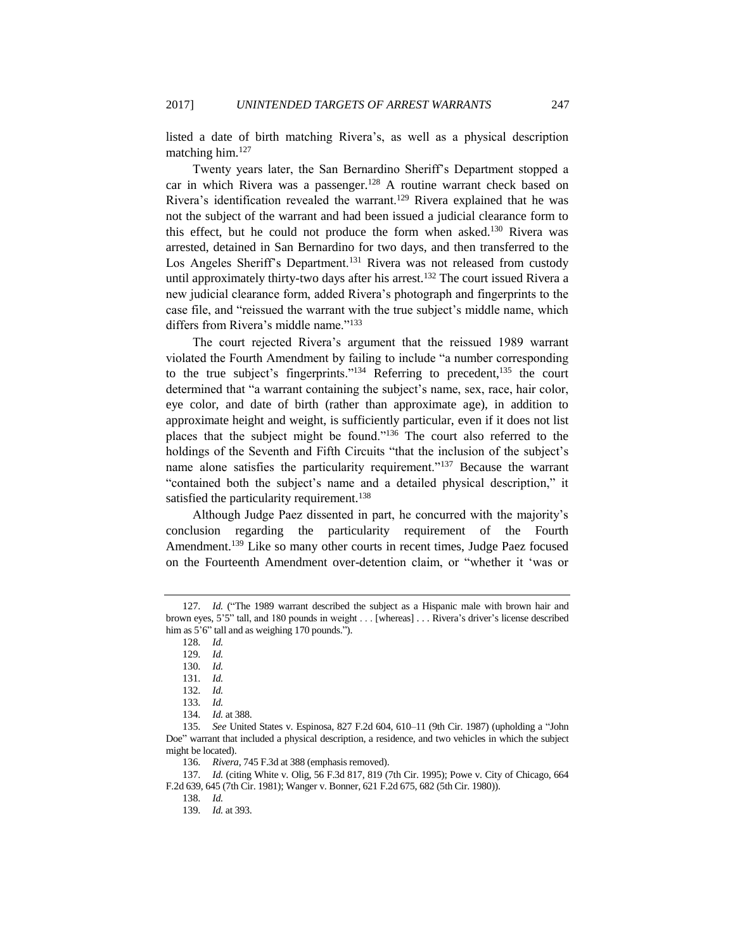listed a date of birth matching Rivera's, as well as a physical description matching him.<sup>127</sup>

Twenty years later, the San Bernardino Sheriff's Department stopped a car in which Rivera was a passenger.<sup>128</sup> A routine warrant check based on Rivera's identification revealed the warrant.<sup>129</sup> Rivera explained that he was not the subject of the warrant and had been issued a judicial clearance form to this effect, but he could not produce the form when asked.<sup>130</sup> Rivera was arrested, detained in San Bernardino for two days, and then transferred to the Los Angeles Sheriff's Department.<sup>131</sup> Rivera was not released from custody until approximately thirty-two days after his arrest.<sup>132</sup> The court issued Rivera a new judicial clearance form, added Rivera's photograph and fingerprints to the case file, and "reissued the warrant with the true subject's middle name, which differs from Rivera's middle name."<sup>133</sup>

The court rejected Rivera's argument that the reissued 1989 warrant violated the Fourth Amendment by failing to include "a number corresponding to the true subject's fingerprints."<sup>134</sup> Referring to precedent, <sup>135</sup> the court determined that "a warrant containing the subject's name, sex, race, hair color, eye color, and date of birth (rather than approximate age), in addition to approximate height and weight, is sufficiently particular, even if it does not list places that the subject might be found."<sup>136</sup> The court also referred to the holdings of the Seventh and Fifth Circuits "that the inclusion of the subject's name alone satisfies the particularity requirement."<sup>137</sup> Because the warrant "contained both the subject's name and a detailed physical description," it satisfied the particularity requirement.<sup>138</sup>

Although Judge Paez dissented in part, he concurred with the majority's conclusion regarding the particularity requirement of the Fourth Amendment.<sup>139</sup> Like so many other courts in recent times, Judge Paez focused on the Fourteenth Amendment over-detention claim, or "whether it 'was or

128*. Id.*

138*. Id.*

<sup>127</sup>*. Id.* ("The 1989 warrant described the subject as a Hispanic male with brown hair and brown eyes, 5'5" tall, and 180 pounds in weight . . . [whereas] . . . Rivera's driver's license described him as  $5^{\circ}6^{\circ}$  tall and as weighing 170 pounds.").

<sup>129</sup>*. Id.*

<sup>130</sup>*. Id.*

<sup>131</sup>*. Id.*

<sup>132</sup>*. Id.*

<sup>133</sup>*. Id.*

<sup>134</sup>*. Id.* at 388.

<sup>135</sup>*. See* United States v. Espinosa, 827 F.2d 604, 610–11 (9th Cir. 1987) (upholding a "John Doe" warrant that included a physical description, a residence, and two vehicles in which the subject might be located).

<sup>136</sup>*. Rivera*, 745 F.3d at 388 (emphasis removed).

<sup>137</sup>*. Id.* (citing White v. Olig, 56 F.3d 817, 819 (7th Cir. 1995); Powe v. City of Chicago, 664 F.2d 639, 645 (7th Cir. 1981); Wanger v. Bonner, 621 F.2d 675, 682 (5th Cir. 1980)).

<sup>139</sup>*. Id.* at 393.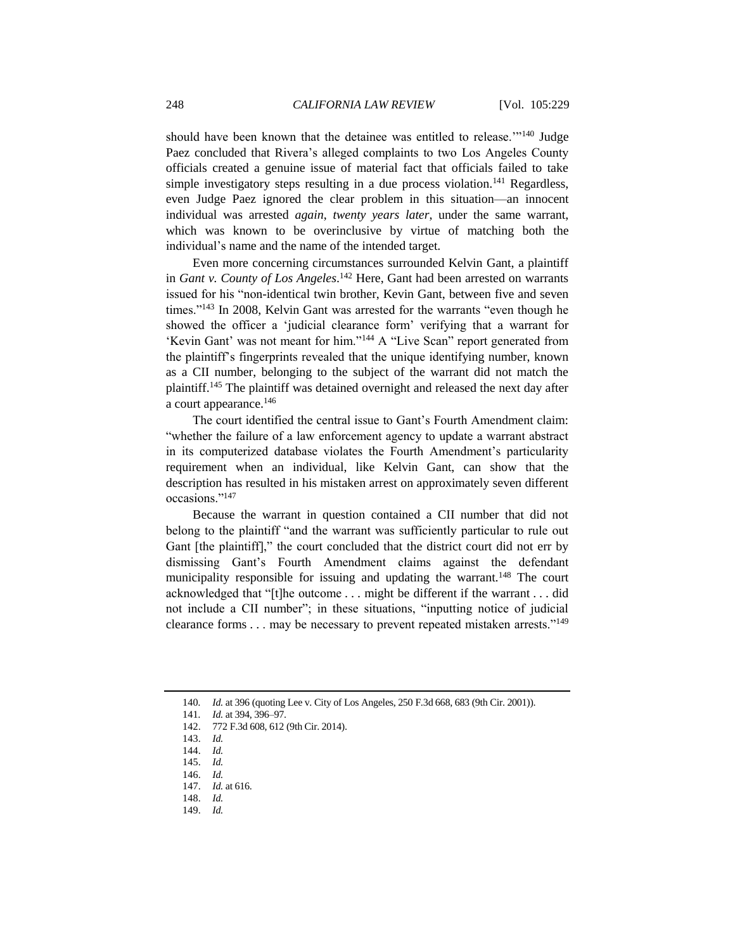should have been known that the detainee was entitled to release."<sup>140</sup> Judge Paez concluded that Rivera's alleged complaints to two Los Angeles County officials created a genuine issue of material fact that officials failed to take simple investigatory steps resulting in a due process violation.<sup>141</sup> Regardless, even Judge Paez ignored the clear problem in this situation—an innocent individual was arrested *again*, *twenty years later*, under the same warrant, which was known to be overinclusive by virtue of matching both the individual's name and the name of the intended target.

Even more concerning circumstances surrounded Kelvin Gant, a plaintiff in *Gant v. County of Los Angeles*. <sup>142</sup> Here, Gant had been arrested on warrants issued for his "non-identical twin brother, Kevin Gant, between five and seven times."<sup>143</sup> In 2008, Kelvin Gant was arrested for the warrants "even though he showed the officer a 'judicial clearance form' verifying that a warrant for 'Kevin Gant' was not meant for him."<sup>144</sup> A "Live Scan" report generated from the plaintiff's fingerprints revealed that the unique identifying number, known as a CII number, belonging to the subject of the warrant did not match the plaintiff.<sup>145</sup> The plaintiff was detained overnight and released the next day after a court appearance.<sup>146</sup>

The court identified the central issue to Gant's Fourth Amendment claim: "whether the failure of a law enforcement agency to update a warrant abstract in its computerized database violates the Fourth Amendment's particularity requirement when an individual, like Kelvin Gant, can show that the description has resulted in his mistaken arrest on approximately seven different occasions."<sup>147</sup>

Because the warrant in question contained a CII number that did not belong to the plaintiff "and the warrant was sufficiently particular to rule out Gant [the plaintiff]," the court concluded that the district court did not err by dismissing Gant's Fourth Amendment claims against the defendant municipality responsible for issuing and updating the warrant.<sup>148</sup> The court acknowledged that "[t]he outcome . . . might be different if the warrant . . . did not include a CII number"; in these situations, "inputting notice of judicial clearance forms . . . may be necessary to prevent repeated mistaken arrests."<sup>149</sup>

149. *Id.*

<sup>140</sup>*. Id.* at 396 (quoting Lee v. City of Los Angeles, 250 F.3d 668, 683 (9th Cir. 2001)).

<sup>141</sup>*. Id.* at 394, 396–97.

<sup>142.</sup> 772 F.3d 608, 612 (9th Cir. 2014).

<sup>143.</sup> *Id.*

<sup>144.</sup> *Id.*

<sup>145.</sup> *Id.*

<sup>146.</sup> *Id.*

<sup>147.</sup> *Id.* at 616.

<sup>148.</sup> *Id.*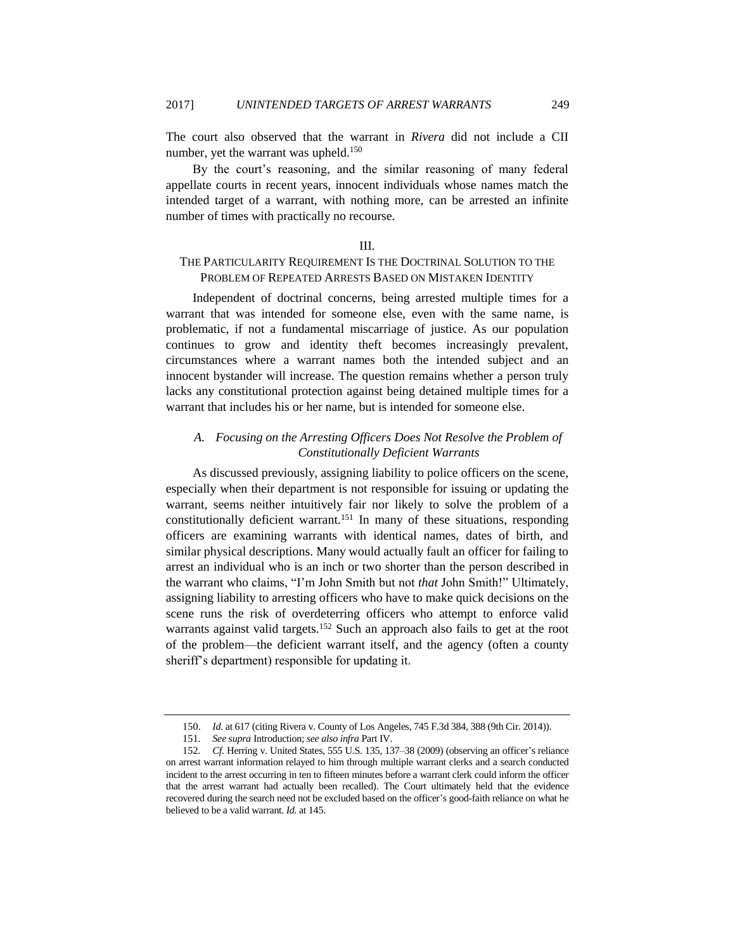The court also observed that the warrant in *Rivera* did not include a CII number, yet the warrant was upheld.<sup>150</sup>

By the court's reasoning, and the similar reasoning of many federal appellate courts in recent years, innocent individuals whose names match the intended target of a warrant, with nothing more, can be arrested an infinite number of times with practically no recourse.

## III.

# THE PARTICULARITY REQUIREMENT IS THE DOCTRINAL SOLUTION TO THE PROBLEM OF REPEATED ARRESTS BASED ON MISTAKEN IDENTITY

Independent of doctrinal concerns, being arrested multiple times for a warrant that was intended for someone else, even with the same name, is problematic, if not a fundamental miscarriage of justice. As our population continues to grow and identity theft becomes increasingly prevalent, circumstances where a warrant names both the intended subject and an innocent bystander will increase. The question remains whether a person truly lacks any constitutional protection against being detained multiple times for a warrant that includes his or her name, but is intended for someone else.

# *A. Focusing on the Arresting Officers Does Not Resolve the Problem of Constitutionally Deficient Warrants*

As discussed previously, assigning liability to police officers on the scene, especially when their department is not responsible for issuing or updating the warrant, seems neither intuitively fair nor likely to solve the problem of a constitutionally deficient warrant.<sup>151</sup> In many of these situations, responding officers are examining warrants with identical names, dates of birth, and similar physical descriptions. Many would actually fault an officer for failing to arrest an individual who is an inch or two shorter than the person described in the warrant who claims, "I'm John Smith but not *that* John Smith!" Ultimately, assigning liability to arresting officers who have to make quick decisions on the scene runs the risk of overdeterring officers who attempt to enforce valid warrants against valid targets.<sup>152</sup> Such an approach also fails to get at the root of the problem—the deficient warrant itself, and the agency (often a county sheriff's department) responsible for updating it.

<sup>150.</sup> *Id.* at 617 (citing Rivera v. County of Los Angeles, 745 F.3d 384, 388 (9th Cir. 2014)).

<sup>151</sup>*. See supra* Introduction; *see also infra* Part IV.

<sup>152</sup>*. Cf.* Herring v. United States, 555 U.S. 135, 137–38 (2009) (observing an officer's reliance on arrest warrant information relayed to him through multiple warrant clerks and a search conducted incident to the arrest occurring in ten to fifteen minutes before a warrant clerk could inform the officer that the arrest warrant had actually been recalled). The Court ultimately held that the evidence recovered during the search need not be excluded based on the officer's good-faith reliance on what he believed to be a valid warrant. *Id.* at 145.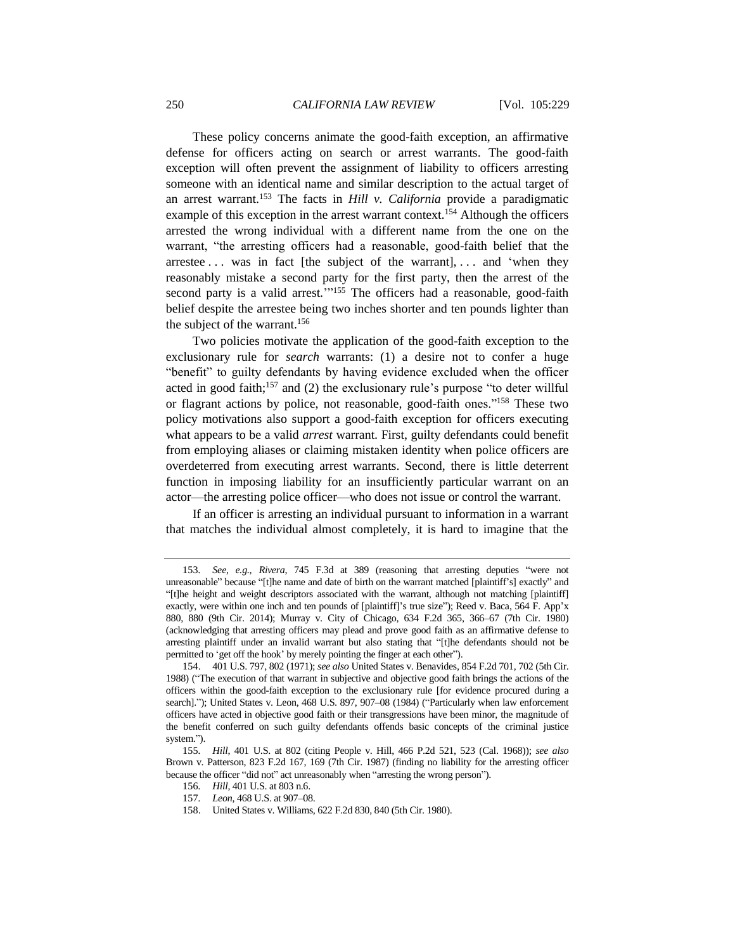These policy concerns animate the good-faith exception, an affirmative defense for officers acting on search or arrest warrants. The good-faith exception will often prevent the assignment of liability to officers arresting someone with an identical name and similar description to the actual target of an arrest warrant.<sup>153</sup> The facts in *Hill v. California* provide a paradigmatic example of this exception in the arrest warrant context.<sup>154</sup> Although the officers arrested the wrong individual with a different name from the one on the warrant, "the arresting officers had a reasonable, good-faith belief that the arrestee  $\dots$  was in fact [the subject of the warrant],  $\dots$  and 'when they reasonably mistake a second party for the first party, then the arrest of the second party is a valid arrest."<sup>155</sup> The officers had a reasonable, good-faith belief despite the arrestee being two inches shorter and ten pounds lighter than the subject of the warrant.<sup>156</sup>

Two policies motivate the application of the good-faith exception to the exclusionary rule for *search* warrants: (1) a desire not to confer a huge "benefit" to guilty defendants by having evidence excluded when the officer acted in good faith; $157$  and (2) the exclusionary rule's purpose "to deter willful or flagrant actions by police, not reasonable, good-faith ones."<sup>158</sup> These two policy motivations also support a good-faith exception for officers executing what appears to be a valid *arrest* warrant. First, guilty defendants could benefit from employing aliases or claiming mistaken identity when police officers are overdeterred from executing arrest warrants. Second, there is little deterrent function in imposing liability for an insufficiently particular warrant on an actor—the arresting police officer—who does not issue or control the warrant.

If an officer is arresting an individual pursuant to information in a warrant that matches the individual almost completely, it is hard to imagine that the

<sup>153</sup>*. See, e.g.*, *Rivera*, 745 F.3d at 389 (reasoning that arresting deputies "were not unreasonable" because "[t]he name and date of birth on the warrant matched [plaintiff's] exactly" and "[t]he height and weight descriptors associated with the warrant, although not matching [plaintiff] exactly, were within one inch and ten pounds of [plaintiff]'s true size"); Reed v. Baca, 564 F. App'x 880, 880 (9th Cir. 2014); Murray v. City of Chicago, 634 F.2d 365, 366–67 (7th Cir. 1980) (acknowledging that arresting officers may plead and prove good faith as an affirmative defense to arresting plaintiff under an invalid warrant but also stating that "[t]he defendants should not be permitted to 'get off the hook' by merely pointing the finger at each other").

<sup>154.</sup> 401 U.S. 797, 802 (1971); *see also* United States v. Benavides, 854 F.2d 701, 702 (5th Cir. 1988) ("The execution of that warrant in subjective and objective good faith brings the actions of the officers within the good-faith exception to the exclusionary rule [for evidence procured during a search]."); United States v. Leon, 468 U.S. 897, 907–08 (1984) ("Particularly when law enforcement officers have acted in objective good faith or their transgressions have been minor, the magnitude of the benefit conferred on such guilty defendants offends basic concepts of the criminal justice system.").

<sup>155</sup>*. Hill*, 401 U.S. at 802 (citing People v. Hill, 466 P.2d 521, 523 (Cal. 1968)); *see also*  Brown v. Patterson, 823 F.2d 167, 169 (7th Cir. 1987) (finding no liability for the arresting officer because the officer "did not" act unreasonably when "arresting the wrong person").

<sup>156</sup>*. Hill*, 401 U.S. at 803 n.6.

<sup>157</sup>*. Leon*, 468 U.S. at 907–08.

<sup>158.</sup> United States v. Williams, 622 F.2d 830, 840 (5th Cir. 1980).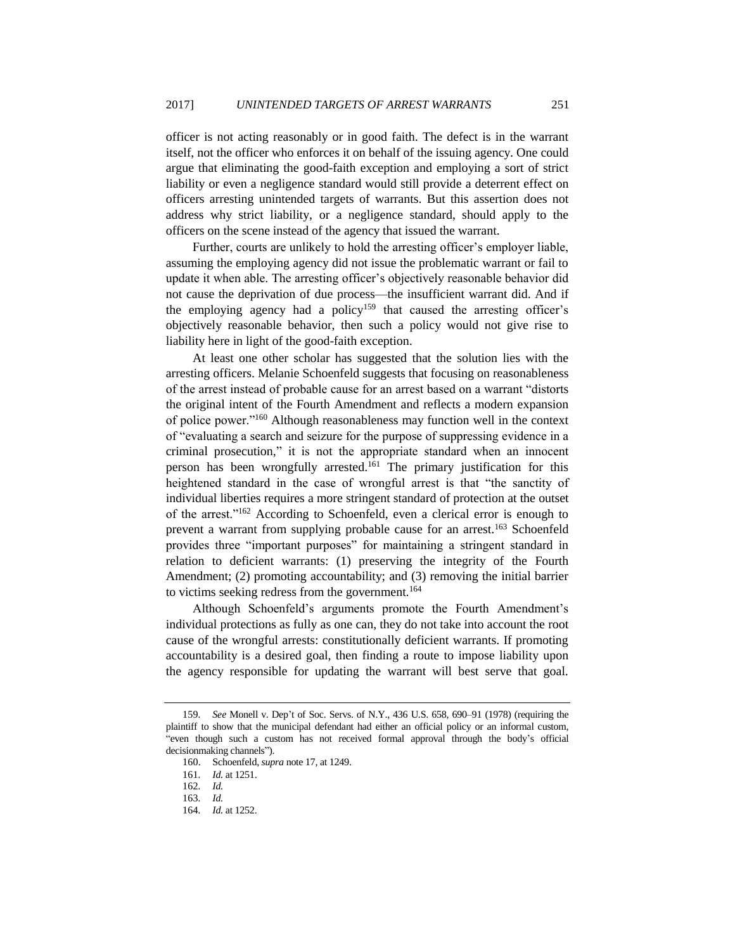officer is not acting reasonably or in good faith. The defect is in the warrant itself, not the officer who enforces it on behalf of the issuing agency. One could argue that eliminating the good-faith exception and employing a sort of strict liability or even a negligence standard would still provide a deterrent effect on officers arresting unintended targets of warrants. But this assertion does not address why strict liability, or a negligence standard, should apply to the officers on the scene instead of the agency that issued the warrant.

Further, courts are unlikely to hold the arresting officer's employer liable, assuming the employing agency did not issue the problematic warrant or fail to update it when able. The arresting officer's objectively reasonable behavior did not cause the deprivation of due process—the insufficient warrant did. And if the employing agency had a policy<sup>159</sup> that caused the arresting officer's objectively reasonable behavior, then such a policy would not give rise to liability here in light of the good-faith exception.

At least one other scholar has suggested that the solution lies with the arresting officers. Melanie Schoenfeld suggests that focusing on reasonableness of the arrest instead of probable cause for an arrest based on a warrant "distorts the original intent of the Fourth Amendment and reflects a modern expansion of police power."<sup>160</sup> Although reasonableness may function well in the context of "evaluating a search and seizure for the purpose of suppressing evidence in a criminal prosecution," it is not the appropriate standard when an innocent person has been wrongfully arrested.<sup>161</sup> The primary justification for this heightened standard in the case of wrongful arrest is that "the sanctity of individual liberties requires a more stringent standard of protection at the outset of the arrest."<sup>162</sup> According to Schoenfeld, even a clerical error is enough to prevent a warrant from supplying probable cause for an arrest.<sup>163</sup> Schoenfeld provides three "important purposes" for maintaining a stringent standard in relation to deficient warrants: (1) preserving the integrity of the Fourth Amendment; (2) promoting accountability; and (3) removing the initial barrier to victims seeking redress from the government.<sup>164</sup>

Although Schoenfeld's arguments promote the Fourth Amendment's individual protections as fully as one can, they do not take into account the root cause of the wrongful arrests: constitutionally deficient warrants. If promoting accountability is a desired goal, then finding a route to impose liability upon the agency responsible for updating the warrant will best serve that goal.

<sup>159</sup>*. See* Monell v. Dep't of Soc. Servs. of N.Y., 436 U.S. 658, 690–91 (1978) (requiring the plaintiff to show that the municipal defendant had either an official policy or an informal custom, "even though such a custom has not received formal approval through the body's official decisionmaking channels").

<sup>160.</sup> Schoenfeld, *supra* not[e 17,](#page-5-0) at 1249.

<sup>161</sup>*. Id.* at 1251.

<sup>162</sup>*. Id.*

<sup>163</sup>*. Id.*

<sup>164</sup>*. Id.* at 1252.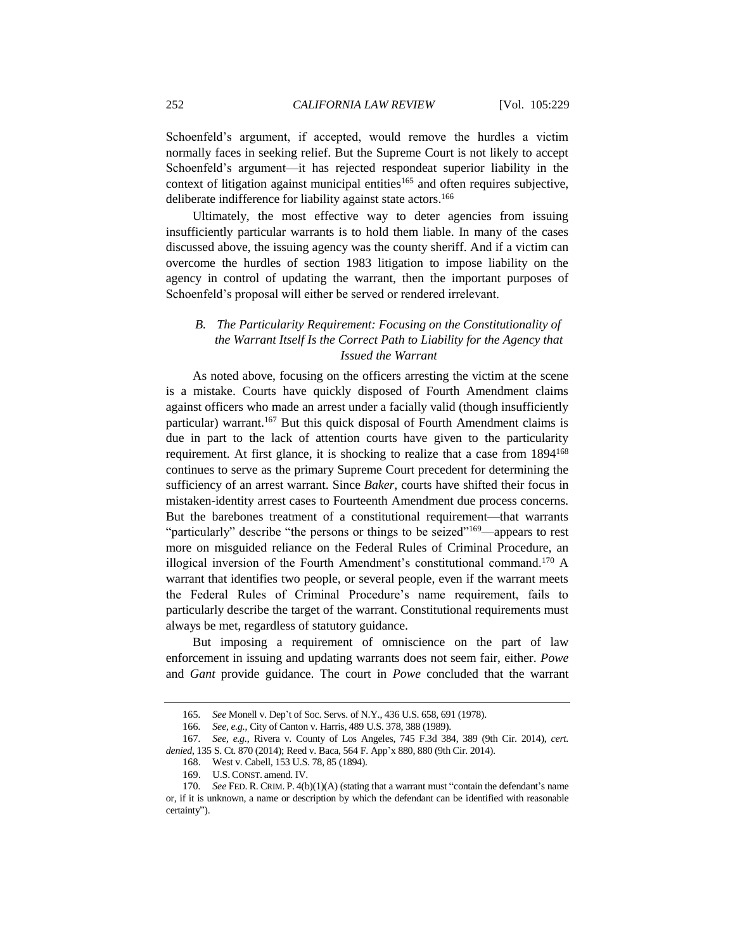Schoenfeld's argument, if accepted, would remove the hurdles a victim normally faces in seeking relief. But the Supreme Court is not likely to accept Schoenfeld's argument—it has rejected respondeat superior liability in the context of litigation against municipal entities<sup>165</sup> and often requires subjective, deliberate indifference for liability against state actors.<sup>166</sup>

Ultimately, the most effective way to deter agencies from issuing insufficiently particular warrants is to hold them liable. In many of the cases discussed above, the issuing agency was the county sheriff. And if a victim can overcome the hurdles of section 1983 litigation to impose liability on the agency in control of updating the warrant, then the important purposes of Schoenfeld's proposal will either be served or rendered irrelevant.

# *B. The Particularity Requirement: Focusing on the Constitutionality of the Warrant Itself Is the Correct Path to Liability for the Agency that Issued the Warrant*

As noted above, focusing on the officers arresting the victim at the scene is a mistake. Courts have quickly disposed of Fourth Amendment claims against officers who made an arrest under a facially valid (though insufficiently particular) warrant.<sup>167</sup> But this quick disposal of Fourth Amendment claims is due in part to the lack of attention courts have given to the particularity requirement. At first glance, it is shocking to realize that a case from 1894<sup>168</sup> continues to serve as the primary Supreme Court precedent for determining the sufficiency of an arrest warrant. Since *Baker*, courts have shifted their focus in mistaken-identity arrest cases to Fourteenth Amendment due process concerns. But the barebones treatment of a constitutional requirement—that warrants "particularly" describe "the persons or things to be seized"<sup>169</sup>—appears to rest more on misguided reliance on the Federal Rules of Criminal Procedure, an illogical inversion of the Fourth Amendment's constitutional command.<sup>170</sup> A warrant that identifies two people, or several people, even if the warrant meets the Federal Rules of Criminal Procedure's name requirement, fails to particularly describe the target of the warrant. Constitutional requirements must always be met, regardless of statutory guidance.

But imposing a requirement of omniscience on the part of law enforcement in issuing and updating warrants does not seem fair, either. *Powe* and *Gant* provide guidance. The court in *Powe* concluded that the warrant

<sup>165</sup>*. See* Monell v. Dep't of Soc. Servs. of N.Y., 436 U.S. 658, 691 (1978).

<sup>166</sup>*. See, e.g.*, City of Canton v. Harris, 489 U.S. 378, 388 (1989).

<sup>167</sup>*. See, e.g.*, Rivera v. County of Los Angeles, 745 F.3d 384, 389 (9th Cir. 2014), *cert. denied*, 135 S. Ct. 870 (2014); Reed v. Baca, 564 F. App'x 880, 880 (9th Cir. 2014).

<sup>168.</sup> West v. Cabell, 153 U.S. 78, 85 (1894).

<sup>169.</sup> U.S. CONST. amend. IV.

<sup>170</sup>*. See* FED. R. CRIM. P. 4(b)(1)(A) (stating that a warrant must "contain the defendant's name or, if it is unknown, a name or description by which the defendant can be identified with reasonable certainty").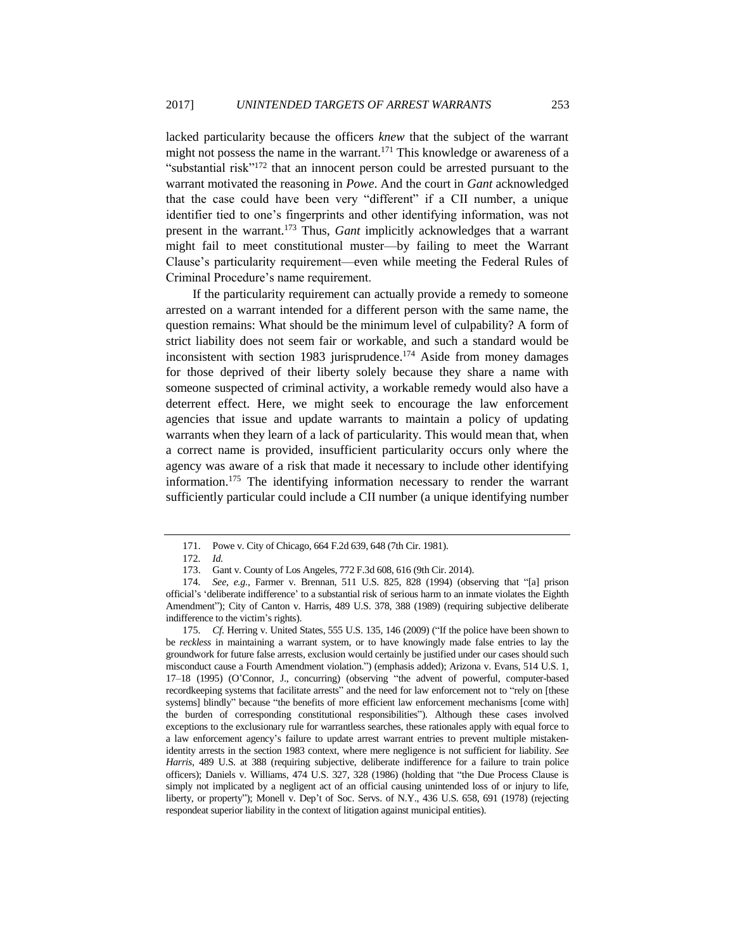lacked particularity because the officers *knew* that the subject of the warrant might not possess the name in the warrant.<sup>171</sup> This knowledge or awareness of a "substantial risk $v^{172}$  that an innocent person could be arrested pursuant to the warrant motivated the reasoning in *Powe*. And the court in *Gant* acknowledged that the case could have been very "different" if a CII number, a unique identifier tied to one's fingerprints and other identifying information, was not present in the warrant.<sup>173</sup> Thus, *Gant* implicitly acknowledges that a warrant might fail to meet constitutional muster—by failing to meet the Warrant Clause's particularity requirement—even while meeting the Federal Rules of Criminal Procedure's name requirement.

If the particularity requirement can actually provide a remedy to someone arrested on a warrant intended for a different person with the same name, the question remains: What should be the minimum level of culpability? A form of strict liability does not seem fair or workable, and such a standard would be inconsistent with section 1983 jurisprudence.<sup>174</sup> Aside from money damages for those deprived of their liberty solely because they share a name with someone suspected of criminal activity, a workable remedy would also have a deterrent effect. Here, we might seek to encourage the law enforcement agencies that issue and update warrants to maintain a policy of updating warrants when they learn of a lack of particularity. This would mean that, when a correct name is provided, insufficient particularity occurs only where the agency was aware of a risk that made it necessary to include other identifying information.<sup>175</sup> The identifying information necessary to render the warrant sufficiently particular could include a CII number (a unique identifying number

<sup>171.</sup> Powe v. City of Chicago, 664 F.2d 639, 648 (7th Cir. 1981).

<sup>172</sup>*. Id.*

<sup>173.</sup> Gant v. County of Los Angeles, 772 F.3d 608, 616 (9th Cir. 2014).

<sup>174</sup>*. See, e.g.*, Farmer v. Brennan, 511 U.S. 825, 828 (1994) (observing that "[a] prison official's 'deliberate indifference' to a substantial risk of serious harm to an inmate violates the Eighth Amendment"); City of Canton v. Harris, 489 U.S. 378, 388 (1989) (requiring subjective deliberate indifference to the victim's rights).

<sup>175</sup>*. Cf.* Herring v. United States, 555 U.S. 135, 146 (2009) ("If the police have been shown to be *reckless* in maintaining a warrant system, or to have knowingly made false entries to lay the groundwork for future false arrests, exclusion would certainly be justified under our cases should such misconduct cause a Fourth Amendment violation.") (emphasis added); Arizona v. Evans, 514 U.S. 1, 17–18 (1995) (O'Connor, J., concurring) (observing "the advent of powerful, computer-based recordkeeping systems that facilitate arrests" and the need for law enforcement not to "rely on [these systems] blindly" because "the benefits of more efficient law enforcement mechanisms [come with] the burden of corresponding constitutional responsibilities"). Although these cases involved exceptions to the exclusionary rule for warrantless searches, these rationales apply with equal force to a law enforcement agency's failure to update arrest warrant entries to prevent multiple mistakenidentity arrests in the section 1983 context, where mere negligence is not sufficient for liability. *See Harris*, 489 U.S. at 388 (requiring subjective, deliberate indifference for a failure to train police officers); Daniels v. Williams, 474 U.S. 327, 328 (1986) (holding that "the Due Process Clause is simply not implicated by a negligent act of an official causing unintended loss of or injury to life, liberty, or property"); Monell v. Dep't of Soc. Servs. of N.Y., 436 U.S. 658, 691 (1978) (rejecting respondeat superior liability in the context of litigation against municipal entities).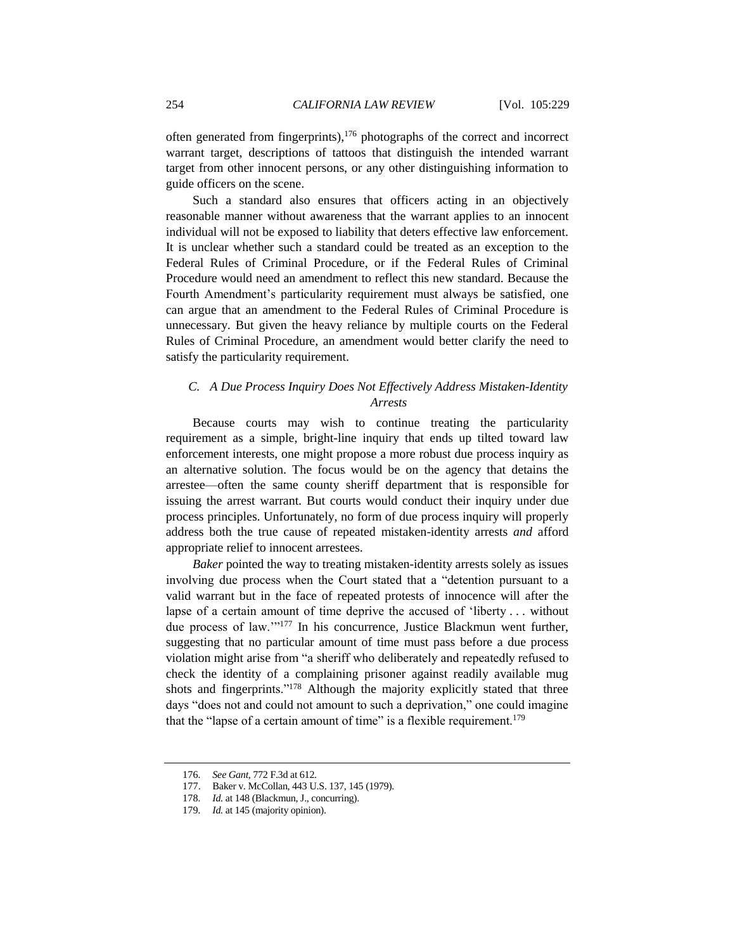often generated from fingerprints), $176$  photographs of the correct and incorrect warrant target, descriptions of tattoos that distinguish the intended warrant target from other innocent persons, or any other distinguishing information to guide officers on the scene.

Such a standard also ensures that officers acting in an objectively reasonable manner without awareness that the warrant applies to an innocent individual will not be exposed to liability that deters effective law enforcement. It is unclear whether such a standard could be treated as an exception to the Federal Rules of Criminal Procedure, or if the Federal Rules of Criminal Procedure would need an amendment to reflect this new standard. Because the Fourth Amendment's particularity requirement must always be satisfied, one can argue that an amendment to the Federal Rules of Criminal Procedure is unnecessary. But given the heavy reliance by multiple courts on the Federal Rules of Criminal Procedure, an amendment would better clarify the need to satisfy the particularity requirement.

# *C. A Due Process Inquiry Does Not Effectively Address Mistaken-Identity Arrests*

Because courts may wish to continue treating the particularity requirement as a simple, bright-line inquiry that ends up tilted toward law enforcement interests, one might propose a more robust due process inquiry as an alternative solution. The focus would be on the agency that detains the arrestee—often the same county sheriff department that is responsible for issuing the arrest warrant. But courts would conduct their inquiry under due process principles. Unfortunately, no form of due process inquiry will properly address both the true cause of repeated mistaken-identity arrests *and* afford appropriate relief to innocent arrestees.

*Baker* pointed the way to treating mistaken-identity arrests solely as issues involving due process when the Court stated that a "detention pursuant to a valid warrant but in the face of repeated protests of innocence will after the lapse of a certain amount of time deprive the accused of 'liberty . . . without due process of law.'"<sup>177</sup> In his concurrence, Justice Blackmun went further, suggesting that no particular amount of time must pass before a due process violation might arise from "a sheriff who deliberately and repeatedly refused to check the identity of a complaining prisoner against readily available mug shots and fingerprints."<sup>178</sup> Although the majority explicitly stated that three days "does not and could not amount to such a deprivation," one could imagine that the "lapse of a certain amount of time" is a flexible requirement.<sup>179</sup>

<sup>176</sup>*. See Gant*, 772 F.3d at 612.

<sup>177.</sup> Baker v. McCollan, 443 U.S. 137, 145 (1979).

<sup>178</sup>*. Id.* at 148 (Blackmun, J., concurring).

<sup>179</sup>*. Id.* at 145 (majority opinion).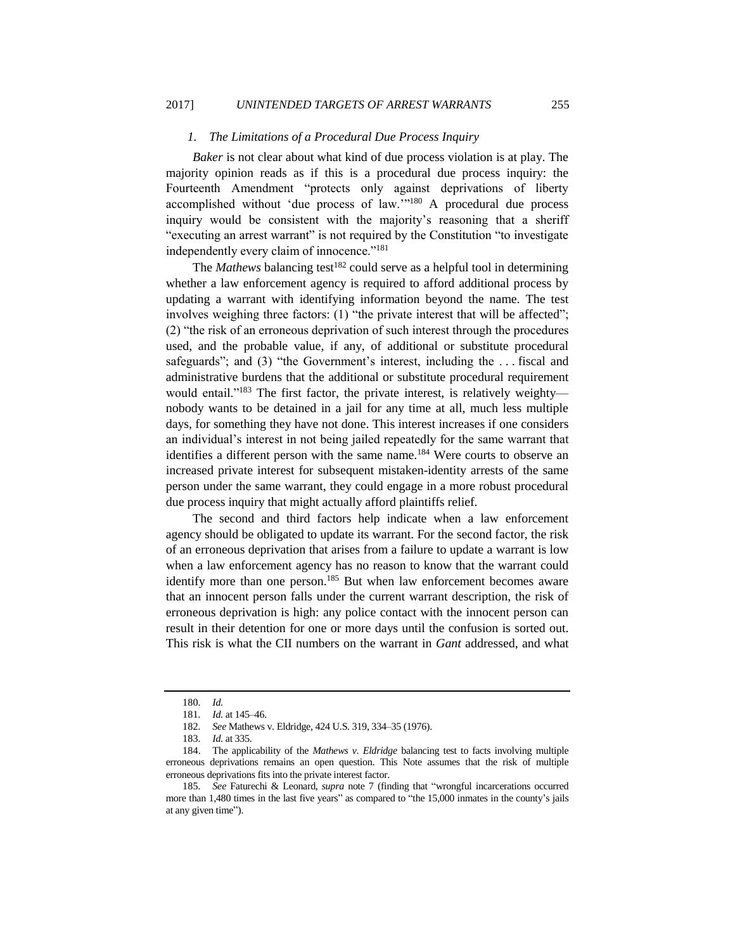## *1. The Limitations of a Procedural Due Process Inquiry*

*Baker* is not clear about what kind of due process violation is at play. The majority opinion reads as if this is a procedural due process inquiry: the Fourteenth Amendment "protects only against deprivations of liberty accomplished without 'due process of law.'" <sup>180</sup> A procedural due process inquiry would be consistent with the majority's reasoning that a sheriff "executing an arrest warrant" is not required by the Constitution "to investigate independently every claim of innocence."<sup>181</sup>

The *Mathews* balancing test<sup>182</sup> could serve as a helpful tool in determining whether a law enforcement agency is required to afford additional process by updating a warrant with identifying information beyond the name. The test involves weighing three factors: (1) "the private interest that will be affected"; (2) "the risk of an erroneous deprivation of such interest through the procedures used, and the probable value, if any, of additional or substitute procedural safeguards"; and (3) "the Government's interest, including the ... fiscal and administrative burdens that the additional or substitute procedural requirement would entail."<sup>183</sup> The first factor, the private interest, is relatively weighty nobody wants to be detained in a jail for any time at all, much less multiple days, for something they have not done. This interest increases if one considers an individual's interest in not being jailed repeatedly for the same warrant that identifies a different person with the same name.<sup>184</sup> Were courts to observe an increased private interest for subsequent mistaken-identity arrests of the same person under the same warrant, they could engage in a more robust procedural due process inquiry that might actually afford plaintiffs relief.

The second and third factors help indicate when a law enforcement agency should be obligated to update its warrant. For the second factor, the risk of an erroneous deprivation that arises from a failure to update a warrant is low when a law enforcement agency has no reason to know that the warrant could identify more than one person.<sup>185</sup> But when law enforcement becomes aware that an innocent person falls under the current warrant description, the risk of erroneous deprivation is high: any police contact with the innocent person can result in their detention for one or more days until the confusion is sorted out. This risk is what the CII numbers on the warrant in *Gant* addressed, and what

<sup>180</sup>*. Id.*

<sup>181</sup>*. Id.* at 145–46.

<sup>182</sup>*. See* Mathews v. Eldridge, 424 U.S. 319, 334–35 (1976).

<sup>183</sup>*. Id.* at 335.

<sup>184.</sup> The applicability of the *Mathews v. Eldridge* balancing test to facts involving multiple erroneous deprivations remains an open question. This Note assumes that the risk of multiple erroneous deprivations fits into the private interest factor.

<sup>185</sup>*. See* Faturechi & Leonard, *supra* note [7](#page-3-0) (finding that "wrongful incarcerations occurred more than 1,480 times in the last five years" as compared to "the 15,000 inmates in the county's jails at any given time").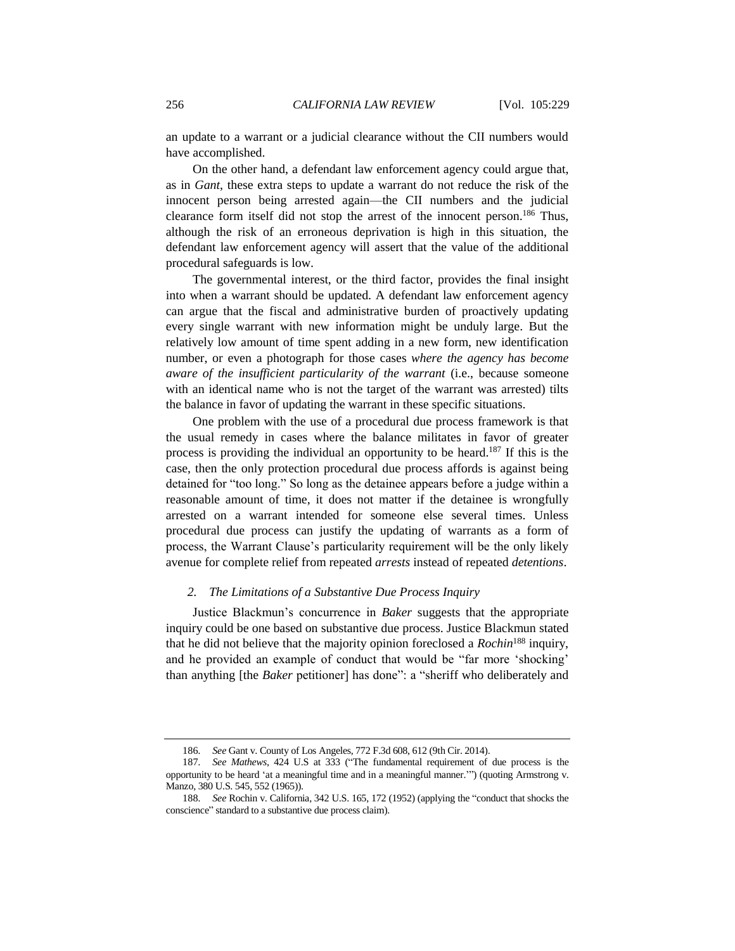an update to a warrant or a judicial clearance without the CII numbers would have accomplished.

On the other hand, a defendant law enforcement agency could argue that, as in *Gant*, these extra steps to update a warrant do not reduce the risk of the innocent person being arrested again—the CII numbers and the judicial clearance form itself did not stop the arrest of the innocent person.<sup>186</sup> Thus, although the risk of an erroneous deprivation is high in this situation, the defendant law enforcement agency will assert that the value of the additional procedural safeguards is low.

The governmental interest, or the third factor, provides the final insight into when a warrant should be updated. A defendant law enforcement agency can argue that the fiscal and administrative burden of proactively updating every single warrant with new information might be unduly large. But the relatively low amount of time spent adding in a new form, new identification number, or even a photograph for those cases *where the agency has become aware of the insufficient particularity of the warrant* (i.e., because someone with an identical name who is not the target of the warrant was arrested) tilts the balance in favor of updating the warrant in these specific situations.

One problem with the use of a procedural due process framework is that the usual remedy in cases where the balance militates in favor of greater process is providing the individual an opportunity to be heard.<sup>187</sup> If this is the case, then the only protection procedural due process affords is against being detained for "too long." So long as the detainee appears before a judge within a reasonable amount of time, it does not matter if the detainee is wrongfully arrested on a warrant intended for someone else several times. Unless procedural due process can justify the updating of warrants as a form of process, the Warrant Clause's particularity requirement will be the only likely avenue for complete relief from repeated *arrests* instead of repeated *detentions*.

#### *2. The Limitations of a Substantive Due Process Inquiry*

Justice Blackmun's concurrence in *Baker* suggests that the appropriate inquiry could be one based on substantive due process. Justice Blackmun stated that he did not believe that the majority opinion foreclosed a *Rochin*<sup>188</sup> inquiry, and he provided an example of conduct that would be "far more 'shocking' than anything [the *Baker* petitioner] has done": a "sheriff who deliberately and

<sup>186</sup>*. See* Gant v. County of Los Angeles, 772 F.3d 608, 612 (9th Cir. 2014).

<sup>187</sup>*. See Mathews*, 424 U.S at 333 ("The fundamental requirement of due process is the opportunity to be heard 'at a meaningful time and in a meaningful manner.'") (quoting Armstrong v. Manzo, 380 U.S. 545, 552 (1965)).

<sup>188</sup>*. See* Rochin v. California, 342 U.S. 165, 172 (1952) (applying the "conduct that shocks the conscience" standard to a substantive due process claim).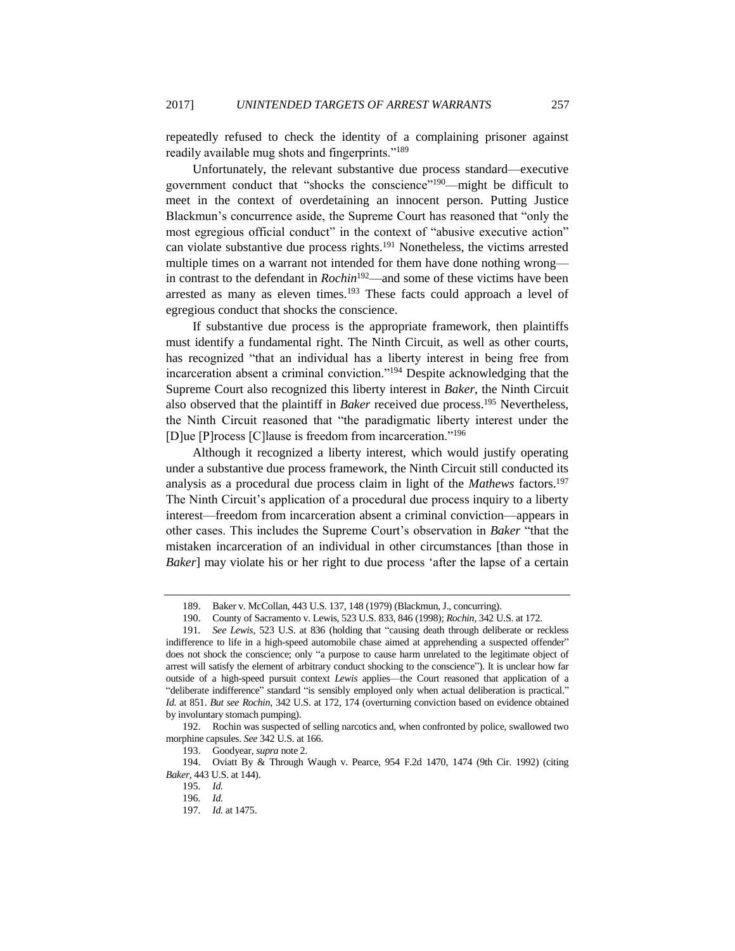repeatedly refused to check the identity of a complaining prisoner against readily available mug shots and fingerprints."<sup>189</sup>

Unfortunately, the relevant substantive due process standard—executive government conduct that "shocks the conscience"<sup>190</sup>—might be difficult to meet in the context of overdetaining an innocent person. Putting Justice Blackmun's concurrence aside, the Supreme Court has reasoned that "only the most egregious official conduct" in the context of "abusive executive action" can violate substantive due process rights.<sup>191</sup> Nonetheless, the victims arrested multiple times on a warrant not intended for them have done nothing wrong in contrast to the defendant in *Rochin*<sup>192</sup>—and some of these victims have been arrested as many as eleven times.<sup>193</sup> These facts could approach a level of egregious conduct that shocks the conscience.

If substantive due process is the appropriate framework, then plaintiffs must identify a fundamental right. The Ninth Circuit, as well as other courts, has recognized "that an individual has a liberty interest in being free from incarceration absent a criminal conviction."<sup>194</sup> Despite acknowledging that the Supreme Court also recognized this liberty interest in *Baker*, the Ninth Circuit also observed that the plaintiff in *Baker* received due process.<sup>195</sup> Nevertheless, the Ninth Circuit reasoned that "the paradigmatic liberty interest under the [D]ue [P]rocess [C]lause is freedom from incarceration."<sup>196</sup>

Although it recognized a liberty interest, which would justify operating under a substantive due process framework, the Ninth Circuit still conducted its analysis as a procedural due process claim in light of the *Mathews* factors.<sup>197</sup> The Ninth Circuit's application of a procedural due process inquiry to a liberty interest—freedom from incarceration absent a criminal conviction—appears in other cases. This includes the Supreme Court's observation in *Baker* "that the mistaken incarceration of an individual in other circumstances [than those in *Baker*] may violate his or her right to due process 'after the lapse of a certain

<sup>189.</sup> Baker v. McCollan, 443 U.S. 137, 148 (1979) (Blackmun, J., concurring).

<sup>190.</sup> County of Sacramento v. Lewis, 523 U.S. 833, 846 (1998); *Rochin*, 342 U.S. at 172.

<sup>191</sup>*. See Lewis*, 523 U.S. at 836 (holding that "causing death through deliberate or reckless indifference to life in a high-speed automobile chase aimed at apprehending a suspected offender" does not shock the conscience; only "a purpose to cause harm unrelated to the legitimate object of arrest will satisfy the element of arbitrary conduct shocking to the conscience"). It is unclear how far outside of a high-speed pursuit context *Lewis* applies—the Court reasoned that application of a "deliberate indifference" standard "is sensibly employed only when actual deliberation is practical." *Id.* at 851. *But see Rochin*, 342 U.S. at 172, 174 (overturning conviction based on evidence obtained by involuntary stomach pumping).

<sup>192.</sup> Rochin was suspected of selling narcotics and, when confronted by police, swallowed two morphine capsules. *See* 342 U.S. at 166.

<sup>193.</sup> Goodyear, *supra* not[e 2.](#page-2-0)

<sup>194.</sup> Oviatt By & Through Waugh v. Pearce, 954 F.2d 1470, 1474 (9th Cir. 1992) (citing *Baker*, 443 U.S. at 144).

<sup>195</sup>*. Id.*

<sup>196</sup>*. Id.*

<sup>197</sup>*. Id.* at 1475.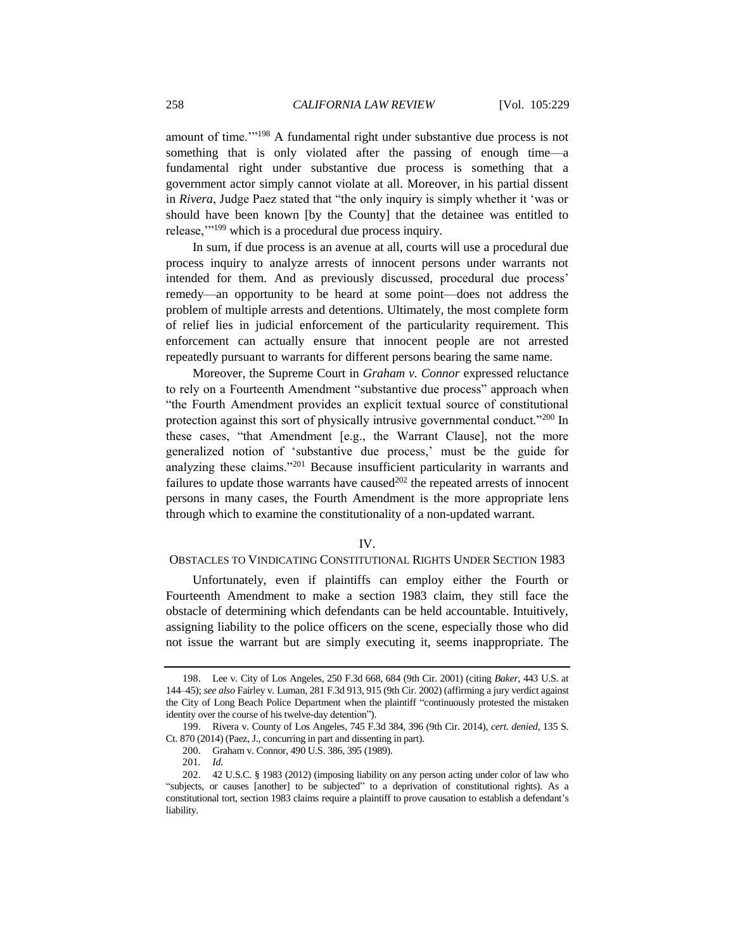amount of time.'" <sup>198</sup> A fundamental right under substantive due process is not something that is only violated after the passing of enough time—a fundamental right under substantive due process is something that a government actor simply cannot violate at all. Moreover, in his partial dissent in *Rivera*, Judge Paez stated that "the only inquiry is simply whether it 'was or should have been known [by the County] that the detainee was entitled to release,'"<sup>199</sup> which is a procedural due process inquiry.

In sum, if due process is an avenue at all, courts will use a procedural due process inquiry to analyze arrests of innocent persons under warrants not intended for them. And as previously discussed, procedural due process' remedy—an opportunity to be heard at some point—does not address the problem of multiple arrests and detentions. Ultimately, the most complete form of relief lies in judicial enforcement of the particularity requirement. This enforcement can actually ensure that innocent people are not arrested repeatedly pursuant to warrants for different persons bearing the same name.

Moreover, the Supreme Court in *Graham v. Connor* expressed reluctance to rely on a Fourteenth Amendment "substantive due process" approach when "the Fourth Amendment provides an explicit textual source of constitutional protection against this sort of physically intrusive governmental conduct."<sup>200</sup> In these cases, "that Amendment [e.g., the Warrant Clause], not the more generalized notion of 'substantive due process,' must be the guide for analyzing these claims."<sup>201</sup> Because insufficient particularity in warrants and failures to update those warrants have caused $202$  the repeated arrests of innocent persons in many cases, the Fourth Amendment is the more appropriate lens through which to examine the constitutionality of a non-updated warrant.

## IV.

## OBSTACLES TO VINDICATING CONSTITUTIONAL RIGHTS UNDER SECTION 1983

Unfortunately, even if plaintiffs can employ either the Fourth or Fourteenth Amendment to make a section 1983 claim, they still face the obstacle of determining which defendants can be held accountable. Intuitively, assigning liability to the police officers on the scene, especially those who did not issue the warrant but are simply executing it, seems inappropriate. The

<sup>198.</sup> Lee v. City of Los Angeles, 250 F.3d 668, 684 (9th Cir. 2001) (citing *Baker*, 443 U.S. at 144–45); *see also* Fairley v. Luman, 281 F.3d 913, 915 (9th Cir. 2002) (affirming a jury verdict against the City of Long Beach Police Department when the plaintiff "continuously protested the mistaken identity over the course of his twelve-day detention").

<sup>199.</sup> Rivera v. County of Los Angeles, 745 F.3d 384, 396 (9th Cir. 2014), *cert. denied*, 135 S. Ct. 870 (2014) (Paez, J., concurring in part and dissenting in part).

<sup>200.</sup> Graham v. Connor, 490 U.S. 386, 395 (1989).

<sup>201</sup>*. Id.*

<sup>202.</sup> 42 U.S.C. § 1983 (2012) (imposing liability on any person acting under color of law who "subjects, or causes [another] to be subjected" to a deprivation of constitutional rights). As a constitutional tort, section 1983 claims require a plaintiff to prove causation to establish a defendant's liability.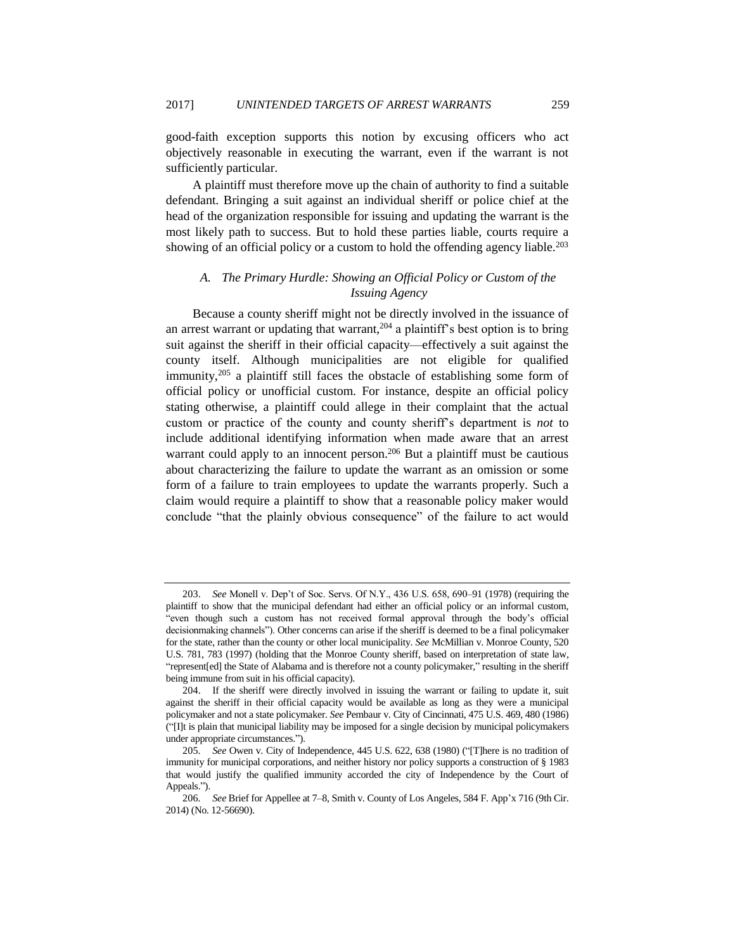good-faith exception supports this notion by excusing officers who act objectively reasonable in executing the warrant, even if the warrant is not sufficiently particular.

A plaintiff must therefore move up the chain of authority to find a suitable defendant. Bringing a suit against an individual sheriff or police chief at the head of the organization responsible for issuing and updating the warrant is the most likely path to success. But to hold these parties liable, courts require a showing of an official policy or a custom to hold the offending agency liable.<sup>203</sup>

# *A. The Primary Hurdle: Showing an Official Policy or Custom of the Issuing Agency*

Because a county sheriff might not be directly involved in the issuance of an arrest warrant or updating that warrant,<sup>204</sup> a plaintiff's best option is to bring suit against the sheriff in their official capacity—effectively a suit against the county itself. Although municipalities are not eligible for qualified immunity,<sup>205</sup> a plaintiff still faces the obstacle of establishing some form of official policy or unofficial custom. For instance, despite an official policy stating otherwise, a plaintiff could allege in their complaint that the actual custom or practice of the county and county sheriff's department is *not* to include additional identifying information when made aware that an arrest warrant could apply to an innocent person.<sup>206</sup> But a plaintiff must be cautious about characterizing the failure to update the warrant as an omission or some form of a failure to train employees to update the warrants properly. Such a claim would require a plaintiff to show that a reasonable policy maker would conclude "that the plainly obvious consequence" of the failure to act would

<sup>203.</sup> *See* Monell v. Dep't of Soc. Servs. Of N.Y., 436 U.S. 658, 690–91 (1978) (requiring the plaintiff to show that the municipal defendant had either an official policy or an informal custom, "even though such a custom has not received formal approval through the body's official decisionmaking channels"). Other concerns can arise if the sheriff is deemed to be a final policymaker for the state, rather than the county or other local municipality. *See* McMillian v. Monroe County, 520 U.S. 781, 783 (1997) (holding that the Monroe County sheriff, based on interpretation of state law, "represent[ed] the State of Alabama and is therefore not a county policymaker," resulting in the sheriff being immune from suit in his official capacity).

<sup>204.</sup> If the sheriff were directly involved in issuing the warrant or failing to update it, suit against the sheriff in their official capacity would be available as long as they were a municipal policymaker and not a state policymaker. *See* Pembaur v. City of Cincinnati, 475 U.S. 469, 480 (1986) ("[I]t is plain that municipal liability may be imposed for a single decision by municipal policymakers under appropriate circumstances.").

<sup>205</sup>*. See* Owen v. City of Independence, 445 U.S. 622, 638 (1980) ("[T]here is no tradition of immunity for municipal corporations, and neither history nor policy supports a construction of § 1983 that would justify the qualified immunity accorded the city of Independence by the Court of Appeals.").

<sup>206</sup>*. See* Brief for Appellee at 7–8, Smith v. County of Los Angeles, 584 F. App'x 716 (9th Cir. 2014) (No. 12-56690).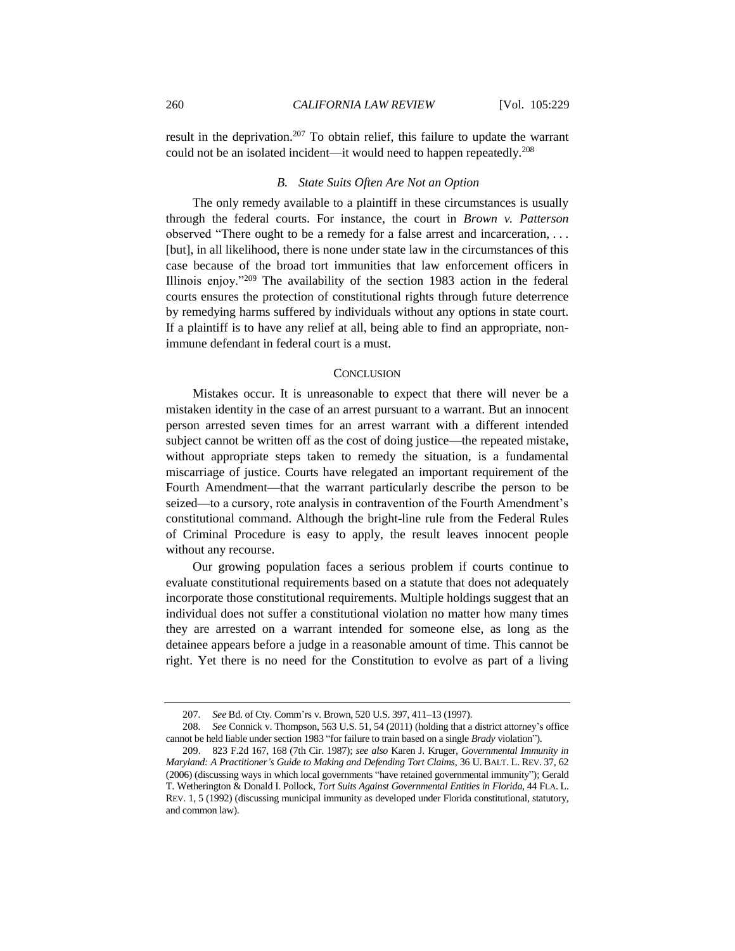result in the deprivation.<sup>207</sup> To obtain relief, this failure to update the warrant could not be an isolated incident—it would need to happen repeatedly.<sup>208</sup>

## *B. State Suits Often Are Not an Option*

The only remedy available to a plaintiff in these circumstances is usually through the federal courts. For instance, the court in *Brown v. Patterson* observed "There ought to be a remedy for a false arrest and incarceration, . . . [but], in all likelihood, there is none under state law in the circumstances of this case because of the broad tort immunities that law enforcement officers in Illinois enjoy."<sup>209</sup> The availability of the section 1983 action in the federal courts ensures the protection of constitutional rights through future deterrence by remedying harms suffered by individuals without any options in state court. If a plaintiff is to have any relief at all, being able to find an appropriate, nonimmune defendant in federal court is a must.

### **CONCLUSION**

Mistakes occur. It is unreasonable to expect that there will never be a mistaken identity in the case of an arrest pursuant to a warrant. But an innocent person arrested seven times for an arrest warrant with a different intended subject cannot be written off as the cost of doing justice—the repeated mistake, without appropriate steps taken to remedy the situation, is a fundamental miscarriage of justice. Courts have relegated an important requirement of the Fourth Amendment—that the warrant particularly describe the person to be seized—to a cursory, rote analysis in contravention of the Fourth Amendment's constitutional command. Although the bright-line rule from the Federal Rules of Criminal Procedure is easy to apply, the result leaves innocent people without any recourse.

Our growing population faces a serious problem if courts continue to evaluate constitutional requirements based on a statute that does not adequately incorporate those constitutional requirements. Multiple holdings suggest that an individual does not suffer a constitutional violation no matter how many times they are arrested on a warrant intended for someone else, as long as the detainee appears before a judge in a reasonable amount of time. This cannot be right. Yet there is no need for the Constitution to evolve as part of a living

<sup>207</sup>*. See* Bd. of Cty. Comm'rs v. Brown, 520 U.S. 397, 411–13 (1997).

<sup>208</sup>*. See* Connick v. Thompson, 563 U.S. 51, 54 (2011) (holding that a district attorney's office cannot be held liable under section 1983 "for failure to train based on a single *Brady* violation").

<sup>209.</sup> 823 F.2d 167, 168 (7th Cir. 1987); *see also* Karen J. Kruger, *Governmental Immunity in Maryland: A Practitioner's Guide to Making and Defending Tort Claims*, 36 U. BALT. L. REV. 37, 62 (2006) (discussing ways in which local governments "have retained governmental immunity"); Gerald T. Wetherington & Donald I. Pollock, *Tort Suits Against Governmental Entities in Florida*, 44 FLA. L. REV. 1, 5 (1992) (discussing municipal immunity as developed under Florida constitutional, statutory, and common law).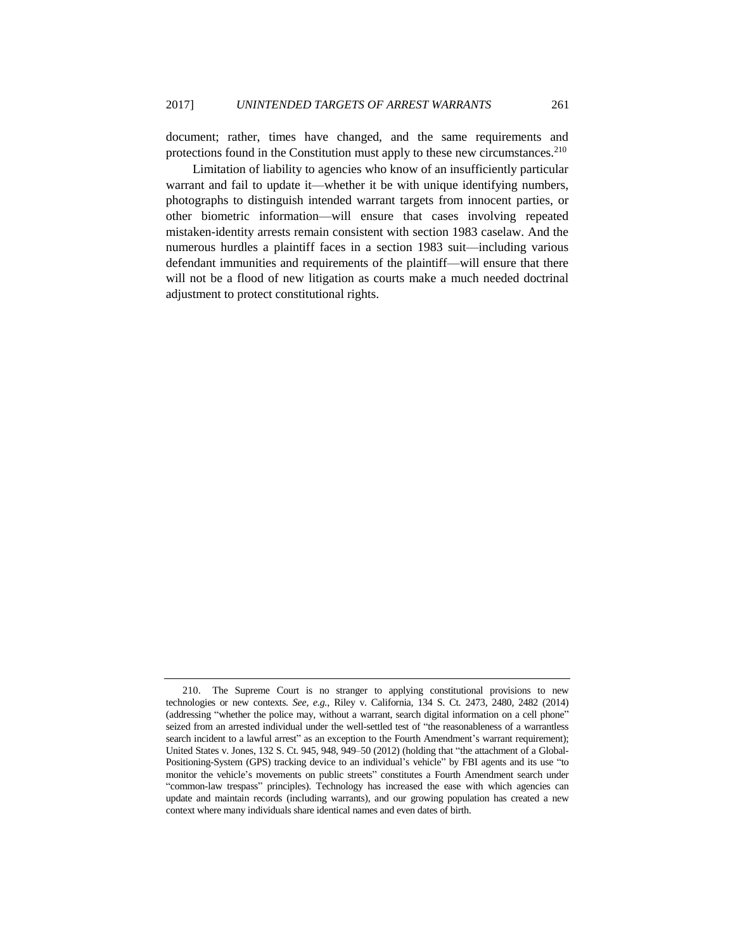document; rather, times have changed, and the same requirements and protections found in the Constitution must apply to these new circumstances.<sup>210</sup>

Limitation of liability to agencies who know of an insufficiently particular warrant and fail to update it—whether it be with unique identifying numbers, photographs to distinguish intended warrant targets from innocent parties, or other biometric information—will ensure that cases involving repeated mistaken-identity arrests remain consistent with section 1983 caselaw. And the numerous hurdles a plaintiff faces in a section 1983 suit—including various defendant immunities and requirements of the plaintiff—will ensure that there will not be a flood of new litigation as courts make a much needed doctrinal adjustment to protect constitutional rights.

<sup>210.</sup> The Supreme Court is no stranger to applying constitutional provisions to new technologies or new contexts. *See, e.g.*, Riley v. California, 134 S. Ct. 2473, 2480, 2482 (2014) (addressing "whether the police may, without a warrant, search digital information on a cell phone" seized from an arrested individual under the well-settled test of "the reasonableness of a warrantless search incident to a lawful arrest" as an exception to the Fourth Amendment's warrant requirement); United States v. Jones, 132 S. Ct. 945, 948, 949–50 (2012) (holding that "the attachment of a Global-Positioning-System (GPS) tracking device to an individual's vehicle" by FBI agents and its use "to monitor the vehicle's movements on public streets" constitutes a Fourth Amendment search under "common-law trespass" principles). Technology has increased the ease with which agencies can update and maintain records (including warrants), and our growing population has created a new context where many individuals share identical names and even dates of birth.